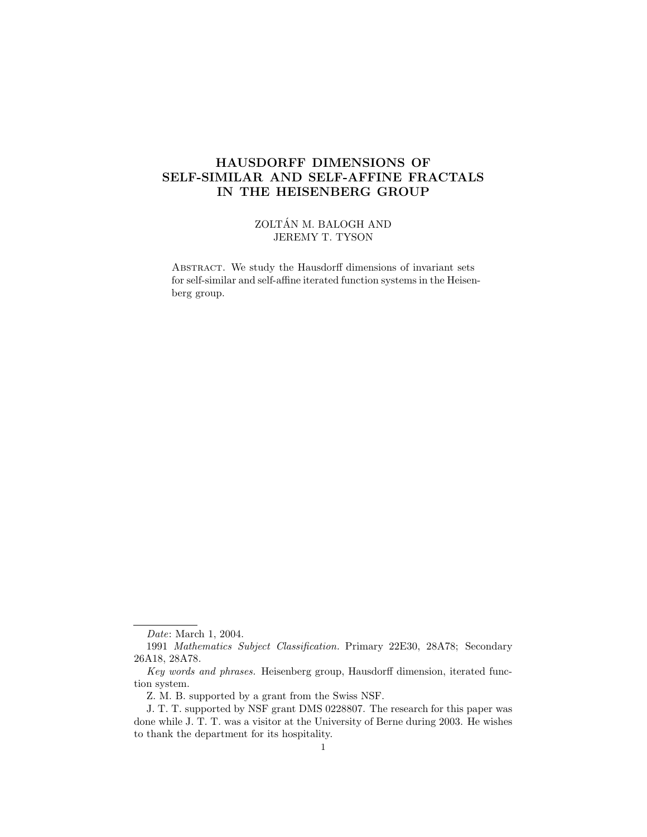# HAUSDORFF DIMENSIONS OF SELF-SIMILAR AND SELF-AFFINE FRACTALS IN THE HEISENBERG GROUP

ZOLTÁN M. BALOGH AND JEREMY T. TYSON

ABSTRACT. We study the Hausdorff dimensions of invariant sets for self-similar and self-affine iterated function systems in the Heisenberg group.

Date: March 1, 2004.

<sup>1991</sup> Mathematics Subject Classification. Primary 22E30, 28A78; Secondary 26A18, 28A78.

Key words and phrases. Heisenberg group, Hausdorff dimension, iterated function system.

Z. M. B. supported by a grant from the Swiss NSF.

J. T. T. supported by NSF grant DMS 0228807. The research for this paper was done while J. T. T. was a visitor at the University of Berne during 2003. He wishes to thank the department for its hospitality.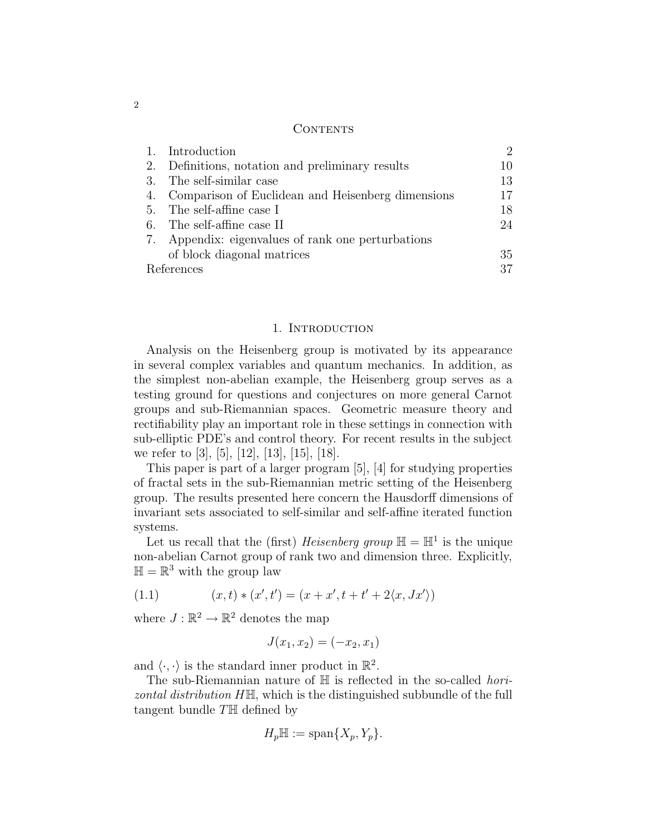### **CONTENTS**

|            | 1. Introduction                                      | $\mathcal{D}$ |
|------------|------------------------------------------------------|---------------|
|            | 2. Definitions, notation and preliminary results     | 10            |
|            | 3. The self-similar case                             | 13            |
|            | 4. Comparison of Euclidean and Heisenberg dimensions | 17            |
|            | 5. The self-affine case I                            | 18            |
|            | 6. The self-affine case II                           | 24            |
|            | 7. Appendix: eigenvalues of rank one perturbations   |               |
|            | of block diagonal matrices                           | 35            |
| References |                                                      | 37            |

#### 1. INTRODUCTION

Analysis on the Heisenberg group is motivated by its appearance in several complex variables and quantum mechanics. In addition, as the simplest non-abelian example, the Heisenberg group serves as a testing ground for questions and conjectures on more general Carnot groups and sub-Riemannian spaces. Geometric measure theory and rectifiability play an important role in these settings in connection with sub-elliptic PDE's and control theory. For recent results in the subject we refer to [3], [5], [12], [13], [15], [18].

This paper is part of a larger program [5], [4] for studying properties of fractal sets in the sub-Riemannian metric setting of the Heisenberg group. The results presented here concern the Hausdorff dimensions of invariant sets associated to self-similar and self-affine iterated function systems.

Let us recall that the (first) *Heisenberg group*  $\mathbb{H} = \mathbb{H}^1$  is the unique non-abelian Carnot group of rank two and dimension three. Explicitly,  $\mathbb{H} = \mathbb{R}^3$  with the group law

(1.1) 
$$
(x,t)*(x',t') = (x+x',t+t'+2\langle x,Jx'\rangle)
$$

where  $J : \mathbb{R}^2 \to \mathbb{R}^2$  denotes the map

$$
J(x_1, x_2) = (-x_2, x_1)
$$

and  $\langle \cdot, \cdot \rangle$  is the standard inner product in  $\mathbb{R}^2$ .

The sub-Riemannian nature of  $\mathbb H$  is reflected in the so-called *hori*zontal distribution HH, which is the distinguished subbundle of the full tangent bundle TH defined by

$$
H_p\mathbb{H}:=\text{span}\{X_p,Y_p\}.
$$

2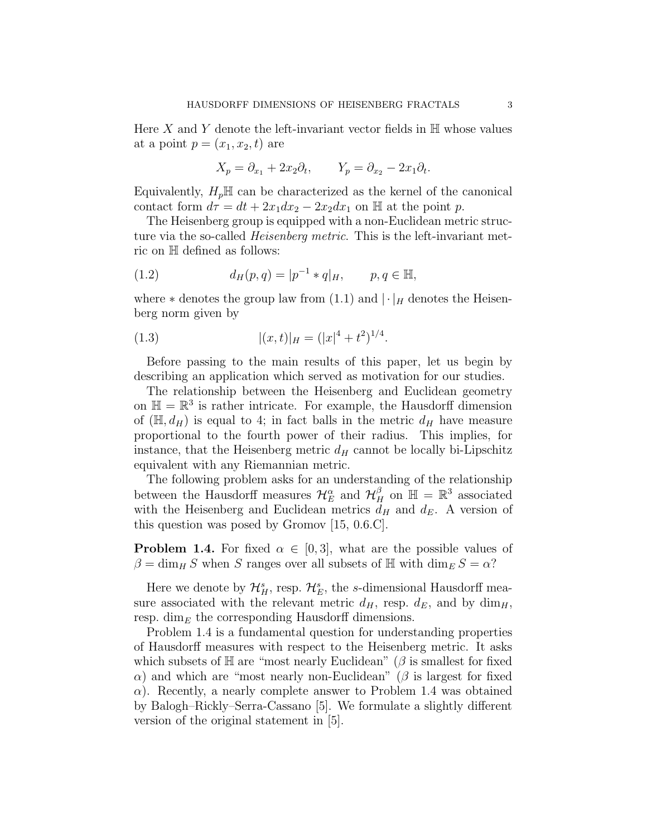Here X and Y denote the left-invariant vector fields in  $\mathbb H$  whose values at a point  $p = (x_1, x_2, t)$  are

$$
X_p = \partial_{x_1} + 2x_2 \partial_t, \qquad Y_p = \partial_{x_2} - 2x_1 \partial_t.
$$

Equivalently,  $H_pH$  can be characterized as the kernel of the canonical contact form  $d\tau = dt + 2x_1dx_2 - 2x_2dx_1$  on H at the point p.

The Heisenberg group is equipped with a non-Euclidean metric structure via the so-called *Heisenberg metric*. This is the left-invariant metric on H defined as follows:

(1.2) 
$$
d_H(p,q) = |p^{-1} * q|_H, \qquad p, q \in \mathbb{H},
$$

where  $*$  denotes the group law from (1.1) and  $|\cdot|_H$  denotes the Heisenberg norm given by

(1.3) 
$$
|(x,t)|_H = (|x|^4 + t^2)^{1/4}.
$$

Before passing to the main results of this paper, let us begin by describing an application which served as motivation for our studies.

The relationship between the Heisenberg and Euclidean geometry on  $\mathbb{H} = \mathbb{R}^3$  is rather intricate. For example, the Hausdorff dimension of  $(\mathbb{H}, d_H)$  is equal to 4; in fact balls in the metric  $d_H$  have measure proportional to the fourth power of their radius. This implies, for instance, that the Heisenberg metric  $d_H$  cannot be locally bi-Lipschitz equivalent with any Riemannian metric.

The following problem asks for an understanding of the relationship between the Hausdorff measures  $\mathcal{H}_E^{\alpha}$  and  $\mathcal{H}_H^{\beta}$  on  $\mathbb{H} = \mathbb{R}^3$  associated with the Heisenberg and Euclidean metrics  $d_H$  and  $d_E$ . A version of this question was posed by Gromov [15, 0.6.C].

**Problem 1.4.** For fixed  $\alpha \in [0,3]$ , what are the possible values of  $\beta = \dim_H S$  when S ranges over all subsets of H with  $\dim_E S = \alpha$ ?

Here we denote by  $\mathcal{H}_{H}^{s}$ , resp.  $\mathcal{H}_{E}^{s}$ , the s-dimensional Hausdorff measure associated with the relevant metric  $d_H$ , resp.  $d_E$ , and by  $\dim_H$ , resp. dim<sub>E</sub> the corresponding Hausdorff dimensions.

Problem 1.4 is a fundamental question for understanding properties of Hausdorff measures with respect to the Heisenberg metric. It asks which subsets of  $\mathbb H$  are "most nearly Euclidean" ( $\beta$  is smallest for fixed α) and which are "most nearly non-Euclidean" (β is largest for fixed  $\alpha$ ). Recently, a nearly complete answer to Problem 1.4 was obtained by Balogh–Rickly–Serra-Cassano [5]. We formulate a slightly different version of the original statement in [5].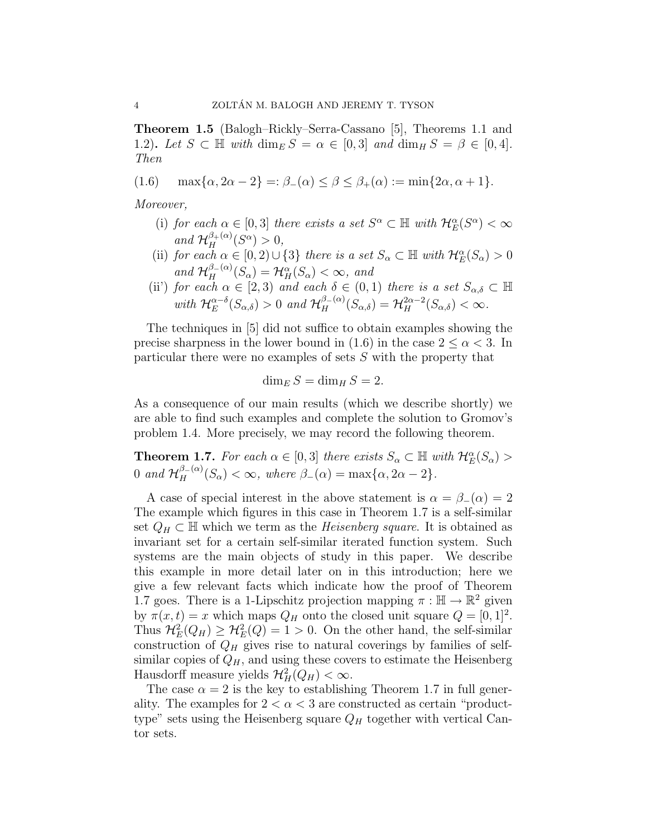Theorem 1.5 (Balogh–Rickly–Serra-Cassano [5], Theorems 1.1 and 1.2). Let  $S \subset \mathbb{H}$  with  $\dim_E S = \alpha \in [0,3]$  and  $\dim_H S = \beta \in [0,4]$ . Then

(1.6)  $\max{\alpha, 2\alpha - 2} =: \beta_{-\alpha} < \beta < \beta_{+\alpha} := \min\{2\alpha, \alpha + 1\}.$ 

Moreover,

- (i) for each  $\alpha \in [0,3]$  there exists a set  $S^{\alpha} \subset \mathbb{H}$  with  $\mathcal{H}_E^{\alpha}(S^{\alpha}) < \infty$ and  $\mathcal{H}_H^{\beta_+(\alpha)}(S^\alpha) > 0$ ,
- (ii) for each  $\alpha \in [0, 2) \cup \{3\}$  there is a set  $S_{\alpha} \subset \mathbb{H}$  with  $\mathcal{H}_E^{\alpha}(S_{\alpha}) > 0$ and  $\mathcal{H}_H^{\beta-(\alpha)}(S_\alpha) = \mathcal{H}_H^{\alpha}(S_\alpha) < \infty$ , and
- (ii) for each  $\alpha \in [2,3)$  and each  $\delta \in (0,1)$  there is a set  $S_{\alpha,\delta} \subset \mathbb{H}$ with  $\mathcal{H}_E^{\alpha-\delta}(S_{\alpha,\delta})>0$  and  $\mathcal{H}_H^{\beta-(\alpha)}(S_{\alpha,\delta})=\mathcal{H}_H^{2\alpha-2}(S_{\alpha,\delta})<\infty$ .

The techniques in [5] did not suffice to obtain examples showing the precise sharpness in the lower bound in (1.6) in the case  $2 \le \alpha < 3$ . In particular there were no examples of sets S with the property that

$$
\dim_E S = \dim_H S = 2.
$$

As a consequence of our main results (which we describe shortly) we are able to find such examples and complete the solution to Gromov's problem 1.4. More precisely, we may record the following theorem.

**Theorem 1.7.** For each  $\alpha \in [0,3]$  there exists  $S_{\alpha} \subset \mathbb{H}$  with  $\mathcal{H}_E^{\alpha}(S_{\alpha})$ 0 and  $\mathcal{H}_H^{\beta_-(\alpha)}(S_\alpha) < \infty$ , where  $\beta_-(\alpha) = \max{\alpha, 2\alpha - 2}.$ 

A case of special interest in the above statement is  $\alpha = \beta_-(\alpha) = 2$ The example which figures in this case in Theorem 1.7 is a self-similar set  $Q_H \subset \mathbb{H}$  which we term as the *Heisenberg square*. It is obtained as invariant set for a certain self-similar iterated function system. Such systems are the main objects of study in this paper. We describe this example in more detail later on in this introduction; here we give a few relevant facts which indicate how the proof of Theorem 1.7 goes. There is a 1-Lipschitz projection mapping  $\pi : \mathbb{H} \to \mathbb{R}^2$  given by  $\pi(x,t) = x$  which maps  $Q_H$  onto the closed unit square  $Q = [0,1]^2$ . Thus  $\mathcal{H}_E^2(Q_H) \geq \mathcal{H}_E^2(Q) = 1 > 0$ . On the other hand, the self-similar construction of  $Q_H$  gives rise to natural coverings by families of selfsimilar copies of  $Q_H$ , and using these covers to estimate the Heisenberg Hausdorff measure yields  $\mathcal{H}_H^2(Q_H) < \infty$ .

The case  $\alpha = 2$  is the key to establishing Theorem 1.7 in full generality. The examples for  $2 < \alpha < 3$  are constructed as certain "producttype" sets using the Heisenberg square  $Q_H$  together with vertical Cantor sets.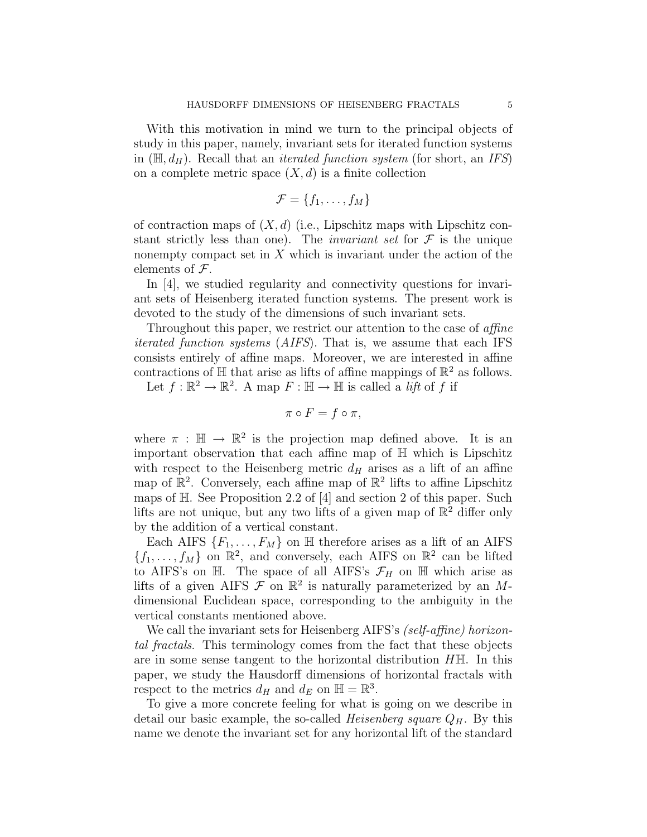With this motivation in mind we turn to the principal objects of study in this paper, namely, invariant sets for iterated function systems in  $(\mathbb{H}, d_H)$ . Recall that an *iterated function system* (for short, an *IFS*) on a complete metric space  $(X, d)$  is a finite collection

$$
\mathcal{F} = \{f_1, \ldots, f_M\}
$$

of contraction maps of  $(X, d)$  (i.e., Lipschitz maps with Lipschitz constant strictly less than one). The *invariant set* for  $\mathcal F$  is the unique nonempty compact set in  $X$  which is invariant under the action of the elements of  $\mathcal{F}$ .

In [4], we studied regularity and connectivity questions for invariant sets of Heisenberg iterated function systems. The present work is devoted to the study of the dimensions of such invariant sets.

Throughout this paper, we restrict our attention to the case of *affine* iterated function systems (AIFS). That is, we assume that each IFS consists entirely of affine maps. Moreover, we are interested in affine contractions of  $\mathbb H$  that arise as lifts of affine mappings of  $\mathbb R^2$  as follows.

Let  $f : \mathbb{R}^2 \to \mathbb{R}^2$ . A map  $F : \mathbb{H} \to \mathbb{H}$  is called a *lift* of f if

$$
\pi \circ F = f \circ \pi,
$$

where  $\pi : \mathbb{H} \to \mathbb{R}^2$  is the projection map defined above. It is an important observation that each affine map of H which is Lipschitz with respect to the Heisenberg metric  $d_H$  arises as a lift of an affine map of  $\mathbb{R}^2$ . Conversely, each affine map of  $\mathbb{R}^2$  lifts to affine Lipschitz maps of H. See Proposition 2.2 of [4] and section 2 of this paper. Such lifts are not unique, but any two lifts of a given map of  $\mathbb{R}^2$  differ only by the addition of a vertical constant.

Each AIFS  $\{F_1, \ldots, F_M\}$  on  $\mathbb H$  therefore arises as a lift of an AIFS  ${f_1, \ldots, f_M}$  on  $\mathbb{R}^2$ , and conversely, each AIFS on  $\mathbb{R}^2$  can be lifted to AIFS's on H. The space of all AIFS's  $\mathcal{F}_H$  on H which arise as lifts of a given AIFS  $\mathcal F$  on  $\mathbb R^2$  is naturally parameterized by an Mdimensional Euclidean space, corresponding to the ambiguity in the vertical constants mentioned above.

We call the invariant sets for Heisenberg AIFS's *(self-affine) horizon*tal fractals. This terminology comes from the fact that these objects are in some sense tangent to the horizontal distribution HH. In this paper, we study the Hausdorff dimensions of horizontal fractals with respect to the metrics  $d_H$  and  $d_E$  on  $\mathbb{H} = \mathbb{R}^3$ .

To give a more concrete feeling for what is going on we describe in detail our basic example, the so-called *Heisenberg square*  $Q_H$ . By this name we denote the invariant set for any horizontal lift of the standard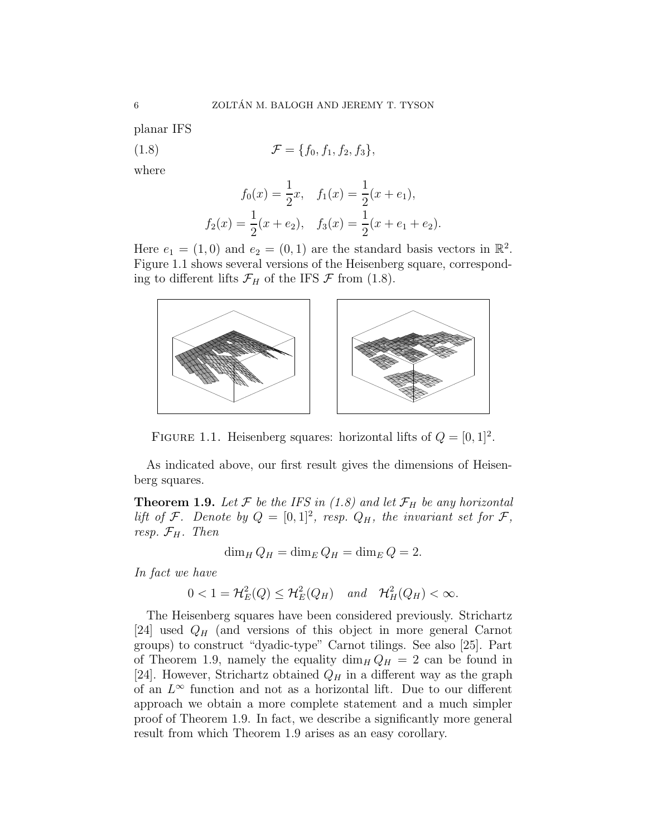planar IFS

(1.8) 
$$
\mathcal{F} = \{f_0, f_1, f_2, f_3\},\
$$

where

$$
f_0(x) = \frac{1}{2}x, \quad f_1(x) = \frac{1}{2}(x + e_1),
$$
  

$$
f_2(x) = \frac{1}{2}(x + e_2), \quad f_3(x) = \frac{1}{2}(x + e_1 + e_2).
$$

Here  $e_1 = (1,0)$  and  $e_2 = (0,1)$  are the standard basis vectors in  $\mathbb{R}^2$ . Figure 1.1 shows several versions of the Heisenberg square, corresponding to different lifts  $\mathcal{F}_H$  of the IFS  $\mathcal F$  from (1.8).



FIGURE 1.1. Heisenberg squares: horizontal lifts of  $Q = [0, 1]^2$ .

As indicated above, our first result gives the dimensions of Heisenberg squares.

**Theorem 1.9.** Let F be the IFS in (1.8) and let  $\mathcal{F}_H$  be any horizontal lift of F. Denote by  $Q = [0,1]^2$ , resp.  $Q_H$ , the invariant set for F, resp.  $\mathcal{F}_H$ . Then

$$
\dim_H Q_H = \dim_E Q_H = \dim_E Q = 2.
$$

In fact we have

$$
0 < 1 = \mathcal{H}_E^2(Q) \le \mathcal{H}_E^2(Q_H) \quad \text{and} \quad \mathcal{H}_H^2(Q_H) < \infty.
$$

The Heisenberg squares have been considered previously. Strichartz [24] used  $Q_H$  (and versions of this object in more general Carnot groups) to construct "dyadic-type" Carnot tilings. See also [25]. Part of Theorem 1.9, namely the equality  $\dim_H Q_H = 2$  can be found in [24]. However, Strichartz obtained  $Q_H$  in a different way as the graph of an  $L^{\infty}$  function and not as a horizontal lift. Due to our different approach we obtain a more complete statement and a much simpler proof of Theorem 1.9. In fact, we describe a significantly more general result from which Theorem 1.9 arises as an easy corollary.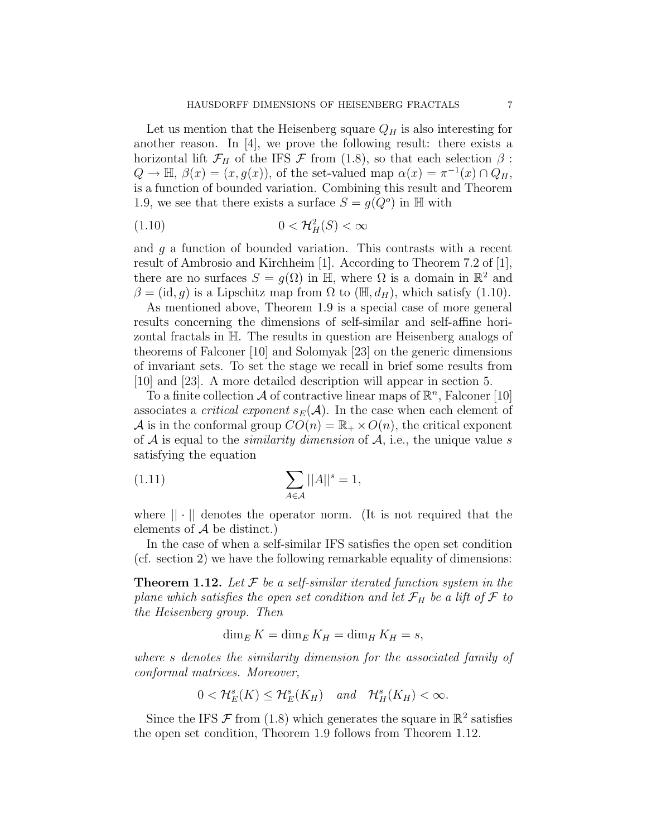Let us mention that the Heisenberg square  $Q_H$  is also interesting for another reason. In [4], we prove the following result: there exists a horizontal lift  $\mathcal{F}_H$  of the IFS  $\mathcal F$  from (1.8), so that each selection  $\beta$ :  $Q \to \mathbb{H}, \ \beta(x) = (x, g(x)),$  of the set-valued map  $\alpha(x) = \pi^{-1}(x) \cap Q_H$ , is a function of bounded variation. Combining this result and Theorem 1.9, we see that there exists a surface  $S = g(Q^o)$  in H with

$$
(1.10)\t\t 0 < \mathcal{H}^2_H(S) < \infty
$$

and  $g$  a function of bounded variation. This contrasts with a recent result of Ambrosio and Kirchheim [1]. According to Theorem 7.2 of [1], there are no surfaces  $S = g(\Omega)$  in  $\overline{\mathbb{H}}$ , where  $\Omega$  is a domain in  $\mathbb{R}^2$  and  $\beta = (id, g)$  is a Lipschitz map from  $\Omega$  to  $(\mathbb{H}, d_H)$ , which satisfy (1.10).

As mentioned above, Theorem 1.9 is a special case of more general results concerning the dimensions of self-similar and self-affine horizontal fractals in H. The results in question are Heisenberg analogs of theorems of Falconer [10] and Solomyak [23] on the generic dimensions of invariant sets. To set the stage we recall in brief some results from [10] and [23]. A more detailed description will appear in section 5.

To a finite collection  $\mathcal A$  of contractive linear maps of  $\mathbb R^n$ , Falconer [10] associates a *critical exponent*  $s_E(\mathcal{A})$ . In the case when each element of A is in the conformal group  $CO(n) = \mathbb{R}_+ \times O(n)$ , the critical exponent of  $A$  is equal to the *similarity dimension* of  $A$ , i.e., the unique value s satisfying the equation

$$
\sum_{A \in \mathcal{A}} ||A||^s = 1,
$$

where  $|| \cdot ||$  denotes the operator norm. (It is not required that the elements of  $A$  be distinct.)

In the case of when a self-similar IFS satisfies the open set condition (cf. section 2) we have the following remarkable equality of dimensions:

**Theorem 1.12.** Let  $\mathcal F$  be a self-similar iterated function system in the plane which satisfies the open set condition and let  $\mathcal{F}_H$  be a lift of  $\mathcal F$  to the Heisenberg group. Then

 $\dim_E K = \dim_E K_H = \dim_H K_H = s,$ 

where s denotes the similarity dimension for the associated family of conformal matrices. Moreover,

$$
0 < \mathcal{H}_E^s(K) \leq \mathcal{H}_E^s(K_H) \quad and \quad \mathcal{H}_H^s(K_H) < \infty.
$$

Since the IFS  $\mathcal F$  from (1.8) which generates the square in  $\mathbb{R}^2$  satisfies the open set condition, Theorem 1.9 follows from Theorem 1.12.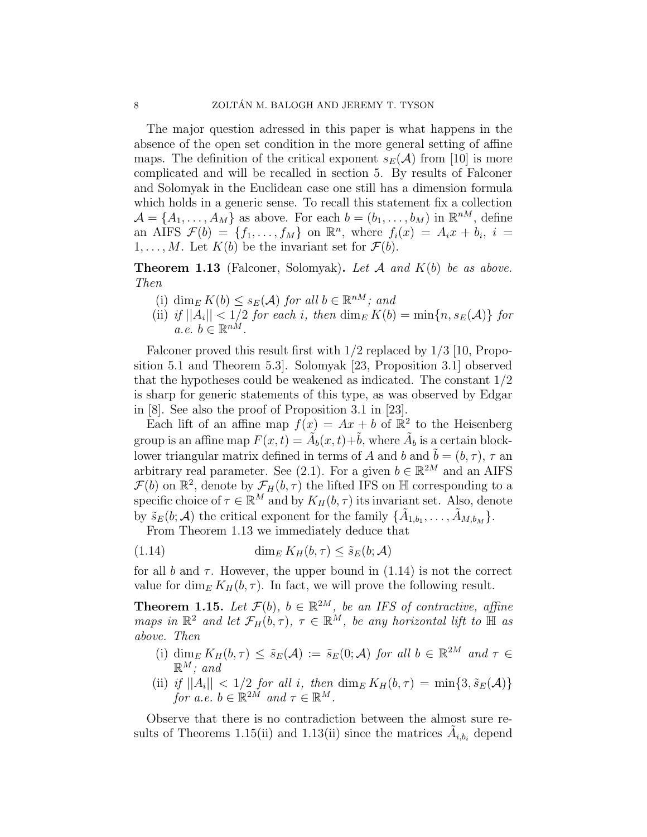The major question adressed in this paper is what happens in the absence of the open set condition in the more general setting of affine maps. The definition of the critical exponent  $s_E(\mathcal{A})$  from [10] is more complicated and will be recalled in section 5. By results of Falconer and Solomyak in the Euclidean case one still has a dimension formula which holds in a generic sense. To recall this statement fix a collection  $\mathcal{A} = \{A_1, \ldots, A_M\}$  as above. For each  $b = (b_1, \ldots, b_M)$  in  $\mathbb{R}^{nM}$ , define an AIFS  $\mathcal{F}(b) = \{f_1, \ldots, f_M\}$  on  $\mathbb{R}^n$ , where  $f_i(x) = A_i x + b_i$ ,  $i =$  $1, \ldots, M$ . Let  $K(b)$  be the invariant set for  $\mathcal{F}(b)$ .

**Theorem 1.13** (Falconer, Solomyak). Let  $A$  and  $K(b)$  be as above. Then

- (i) dim<sub>E</sub>  $K(b) \leq s_E(\mathcal{A})$  for all  $b \in \mathbb{R}^{nM}$ ; and
- (ii) if  $||A_i|| < 1/2$  for each i, then  $\dim_E K(b) = \min\{n, s_E(\mathcal{A})\}$  for  $a.e. b \in \mathbb{R}^{nM}.$

Falconer proved this result first with 1/2 replaced by 1/3 [10, Proposition 5.1 and Theorem 5.3]. Solomyak [23, Proposition 3.1] observed that the hypotheses could be weakened as indicated. The constant 1/2 is sharp for generic statements of this type, as was observed by Edgar in [8]. See also the proof of Proposition 3.1 in [23].

Each lift of an affine map  $f(x) = Ax + b$  of  $\mathbb{R}^2$  to the Heisenberg group is an affine map  $F(x,t) = \tilde{A}_b(x,t) + \tilde{b}$ , where  $\tilde{A}_b$  is a certain blocklower triangular matrix defined in terms of A and b and  $\tilde{b} = (b, \tau)$ ,  $\tau$  and arbitrary real parameter. See (2.1). For a given  $b \in \mathbb{R}^{2M}$  and an AIFS  $\mathcal{F}(b)$  on  $\mathbb{R}^2$ , denote by  $\mathcal{F}_H(b,\tau)$  the lifted IFS on H corresponding to a specific choice of  $\tau \in \mathbb{R}^M$  and by  $K_H(b, \tau)$  its invariant set. Also, denote by  $\tilde{s}_E(b; A)$  the critical exponent for the family  $\{\tilde{A}_{1,b_1}, \ldots, \tilde{A}_{M,b_M}\}.$ 

From Theorem 1.13 we immediately deduce that

(1.14) 
$$
\dim_E K_H(b, \tau) \leq \tilde{s}_E(b; \mathcal{A})
$$

for all b and  $\tau$ . However, the upper bound in (1.14) is not the correct value for dim<sub>E</sub>  $K_H(b, \tau)$ . In fact, we will prove the following result.

**Theorem 1.15.** Let  $\mathcal{F}(b)$ ,  $b \in \mathbb{R}^{2M}$ , be an IFS of contractive, affine maps in  $\mathbb{R}^2$  and let  $\mathcal{F}_H(b,\tau)$ ,  $\tau \in \mathbb{R}^M$ , be any horizontal lift to  $\mathbb H$  as above. Then

- (i)  $\dim_E K_H(b, \tau) \leq \tilde{s}_E(\mathcal{A}) := \tilde{s}_E(0; \mathcal{A})$  for all  $b \in \mathbb{R}^{2M}$  and  $\tau \in$  $\mathbb{R}^M$ ; and
- (ii) if  $||A_i|| < 1/2$  for all i, then  $\dim_E K_H(b, \tau) = \min\{3, \tilde{s}_E(\mathcal{A})\}$ for a.e.  $b \in \mathbb{R}^{2M}$  and  $\tau \in \mathbb{R}^M$ .

Observe that there is no contradiction between the almost sure results of Theorems 1.15(ii) and 1.13(ii) since the matrices  $\tilde{A}_{i,b_i}$  depend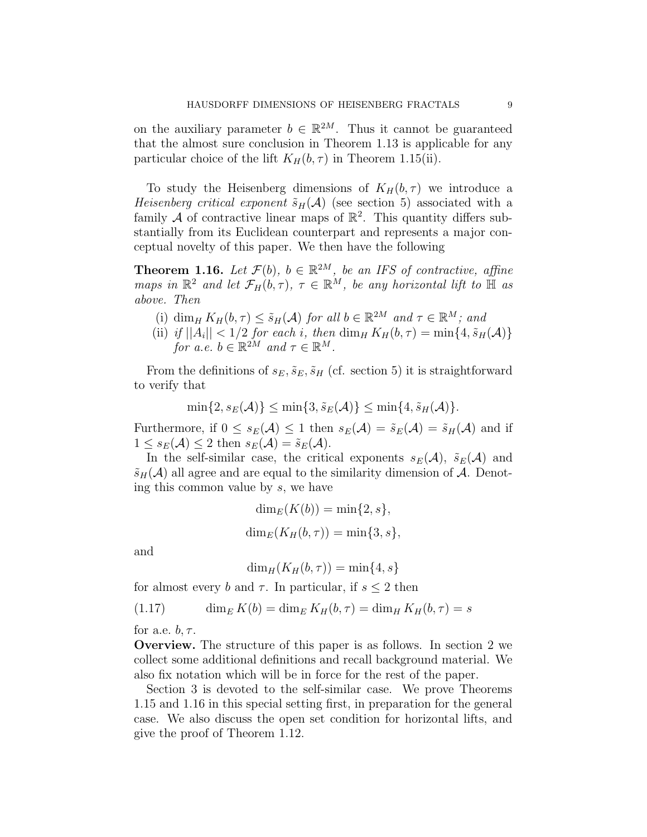on the auxiliary parameter  $b \in \mathbb{R}^{2M}$ . Thus it cannot be guaranteed that the almost sure conclusion in Theorem 1.13 is applicable for any particular choice of the lift  $K_H(b, \tau)$  in Theorem 1.15(ii).

To study the Heisenberg dimensions of  $K_H(b, \tau)$  we introduce a Heisenberg critical exponent  $\tilde{s}_H(\mathcal{A})$  (see section 5) associated with a family  $\mathcal A$  of contractive linear maps of  $\mathbb R^2$ . This quantity differs substantially from its Euclidean counterpart and represents a major conceptual novelty of this paper. We then have the following

**Theorem 1.16.** Let  $\mathcal{F}(b)$ ,  $b \in \mathbb{R}^{2M}$ , be an IFS of contractive, affine maps in  $\mathbb{R}^2$  and let  $\mathcal{F}_H(b,\tau)$ ,  $\tau \in \mathbb{R}^M$ , be any horizontal lift to  $\mathbb H$  as above. Then

- (i) dim<sub>H</sub>  $K_H(b, \tau) \leq \tilde{s}_H(\mathcal{A})$  for all  $b \in \mathbb{R}^{2M}$  and  $\tau \in \mathbb{R}^M$ ; and
- (ii) if  $||A_i|| < 1/2$  for each i, then  $\dim_H K_H(b, \tau) = \min\{4, \tilde{s}_H(\mathcal{A})\}$ for a.e.  $b \in \mathbb{R}^{2M}$  and  $\tau \in \mathbb{R}^{M}$ .

From the definitions of  $s_E$ ,  $\tilde{s}_E$ ,  $\tilde{s}_H$  (cf. section 5) it is straightforward to verify that

$$
\min\{2, s_E(\mathcal{A})\} \le \min\{3, \tilde{s}_E(\mathcal{A})\} \le \min\{4, \tilde{s}_H(\mathcal{A})\}.
$$

Furthermore, if  $0 \leq s_E(\mathcal{A}) \leq 1$  then  $s_E(\mathcal{A}) = \tilde{s}_E(\mathcal{A}) = \tilde{s}_H(\mathcal{A})$  and if  $1 \leq s_E(\mathcal{A}) \leq 2$  then  $s_E(\mathcal{A}) = \tilde{s}_E(\mathcal{A})$ .

In the self-similar case, the critical exponents  $s_E(\mathcal{A})$ ,  $\tilde{s}_E(\mathcal{A})$  and  $\tilde{s}_H(\mathcal{A})$  all agree and are equal to the similarity dimension of A. Denoting this common value by s, we have

$$
\dim_E(K(b)) = \min\{2, s\},\
$$
  

$$
\dim_E(K_H(b, \tau)) = \min\{3, s\},\
$$

and

$$
\dim_H(K_H(b,\tau)) = \min\{4, s\}
$$

for almost every b and  $\tau$ . In particular, if  $s \leq 2$  then

$$
(1.17) \qquad \dim_E K(b) = \dim_E K_H(b, \tau) = \dim_H K_H(b, \tau) = s
$$

for a.e.  $b, \tau$ .

Overview. The structure of this paper is as follows. In section 2 we collect some additional definitions and recall background material. We also fix notation which will be in force for the rest of the paper.

Section 3 is devoted to the self-similar case. We prove Theorems 1.15 and 1.16 in this special setting first, in preparation for the general case. We also discuss the open set condition for horizontal lifts, and give the proof of Theorem 1.12.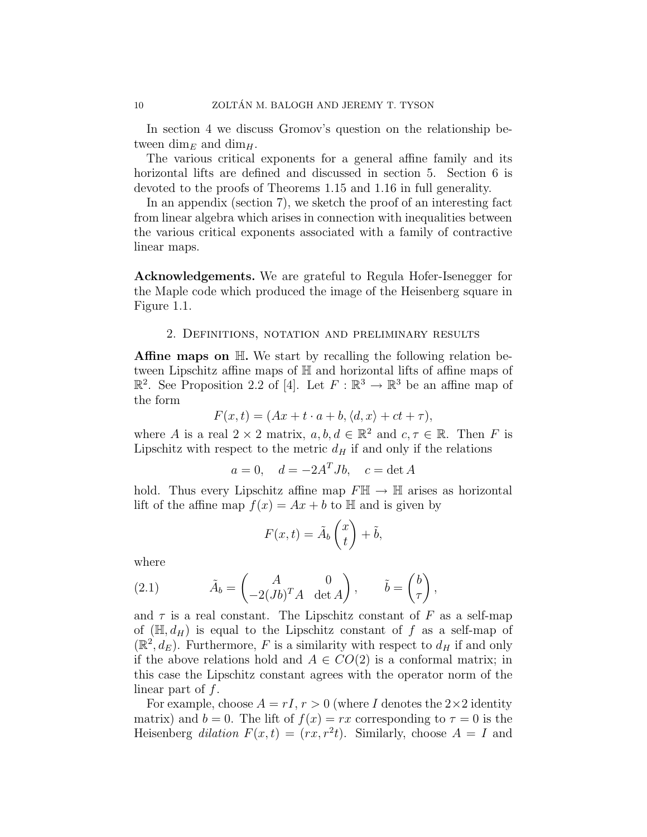In section 4 we discuss Gromov's question on the relationship between dim<sub>E</sub> and dim<sub>H</sub>.

The various critical exponents for a general affine family and its horizontal lifts are defined and discussed in section 5. Section 6 is devoted to the proofs of Theorems 1.15 and 1.16 in full generality.

In an appendix (section 7), we sketch the proof of an interesting fact from linear algebra which arises in connection with inequalities between the various critical exponents associated with a family of contractive linear maps.

Acknowledgements. We are grateful to Regula Hofer-Isenegger for the Maple code which produced the image of the Heisenberg square in Figure 1.1.

#### 2. Definitions, notation and preliminary results

**Affine maps on**  $\mathbb{H}$ **.** We start by recalling the following relation between Lipschitz affine maps of H and horizontal lifts of affine maps of  $\mathbb{R}^2$ . See Proposition 2.2 of [4]. Let  $F : \mathbb{R}^3 \to \mathbb{R}^3$  be an affine map of the form

$$
F(x,t) = (Ax + t \cdot a + b, \langle d, x \rangle + ct + \tau),
$$

where A is a real  $2 \times 2$  matrix,  $a, b, d \in \mathbb{R}^2$  and  $c, \tau \in \mathbb{R}$ . Then F is Lipschitz with respect to the metric  $d_H$  if and only if the relations

$$
a = 0, \quad d = -2A^T Jb, \quad c = \det A
$$

hold. Thus every Lipschitz affine map  $F\mathbb{H} \to \mathbb{H}$  arises as horizontal lift of the affine map  $f(x) = Ax + b$  to  $\mathbb H$  and is given by

$$
F(x,t) = \tilde{A}_b \begin{pmatrix} x \\ t \end{pmatrix} + \tilde{b},
$$

where

(2.1) 
$$
\tilde{A}_b = \begin{pmatrix} A & 0 \\ -2(Jb)^T A & \det A \end{pmatrix}, \qquad \tilde{b} = \begin{pmatrix} b \\ \tau \end{pmatrix},
$$

and  $\tau$  is a real constant. The Lipschitz constant of F as a self-map of  $(\mathbb{H}, d_H)$  is equal to the Lipschitz constant of f as a self-map of  $(\mathbb{R}^2, d_E)$ . Furthermore, F is a similarity with respect to  $d_H$  if and only if the above relations hold and  $A \in CO(2)$  is a conformal matrix; in this case the Lipschitz constant agrees with the operator norm of the linear part of  $f$ .

For example, choose  $A = rI$ ,  $r > 0$  (where I denotes the  $2 \times 2$  identity matrix) and  $b = 0$ . The lift of  $f(x) = rx$  corresponding to  $\tau = 0$  is the Heisenberg dilation  $F(x,t) = (rx, r^2t)$ . Similarly, choose  $A = I$  and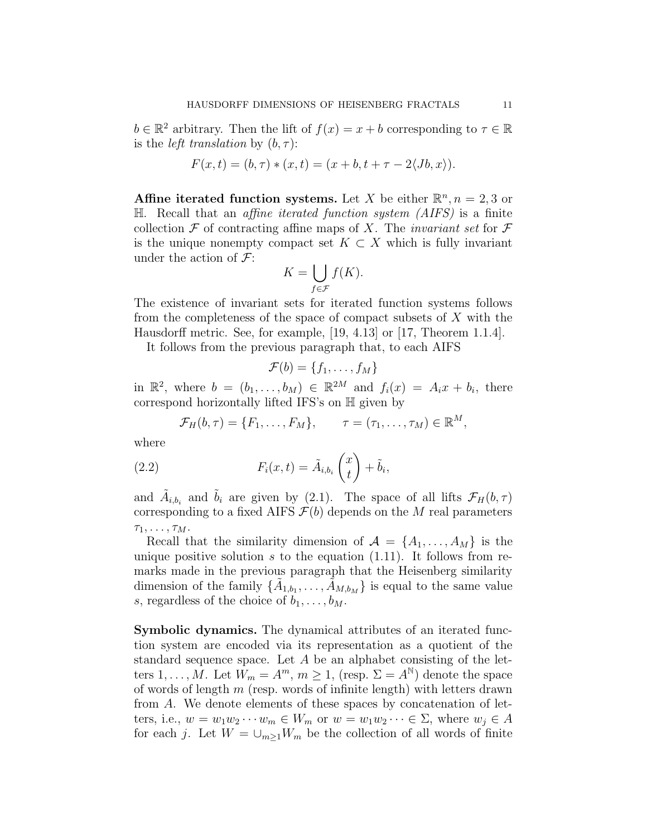$b \in \mathbb{R}^2$  arbitrary. Then the lift of  $f(x) = x + b$  corresponding to  $\tau \in \mathbb{R}$ is the *left translation* by  $(b, \tau)$ :

$$
F(x,t) = (b, \tau) * (x, t) = (x + b, t + \tau - 2\langle Jb, x \rangle).
$$

Affine iterated function systems. Let X be either  $\mathbb{R}^n, n = 2, 3$  or  $\mathbb H$ . Recall that an *affine iterated function system (AIFS)* is a finite collection  $\mathcal F$  of contracting affine maps of X. The *invariant set* for  $\mathcal F$ is the unique nonempty compact set  $K \subset X$  which is fully invariant under the action of  $\mathcal{F}$ :  $\mathbf{r}$ 

$$
K = \bigcup_{f \in \mathcal{F}} f(K).
$$

The existence of invariant sets for iterated function systems follows from the completeness of the space of compact subsets of  $X$  with the Hausdorff metric. See, for example, [19, 4.13] or [17, Theorem 1.1.4].

It follows from the previous paragraph that, to each AIFS

$$
\mathcal{F}(b) = \{f_1, \ldots, f_M\}
$$

in  $\mathbb{R}^2$ , where  $b = (b_1, \ldots, b_M) \in \mathbb{R}^{2M}$  and  $f_i(x) = A_i x + b_i$ , there correspond horizontally lifted IFS's on  $\mathbb H$  given by

$$
\mathcal{F}_H(b,\tau)=\{F_1,\ldots,F_M\},\qquad \tau=(\tau_1,\ldots,\tau_M)\in\mathbb{R}^M,
$$

where

(2.2) 
$$
F_i(x,t) = \tilde{A}_{i,b_i}\begin{pmatrix} x \\ t \end{pmatrix} + \tilde{b}_i,
$$

and  $\tilde{A}_{i,b_i}$  and  $\tilde{b}_i$  are given by (2.1). The space of all lifts  $\mathcal{F}_H(b,\tau)$ corresponding to a fixed AIFS  $\mathcal{F}(b)$  depends on the M real parameters  $\tau_1, \ldots, \tau_M.$ 

Recall that the similarity dimension of  $\mathcal{A} = \{A_1, \ldots, A_M\}$  is the unique positive solution s to the equation  $(1.11)$ . It follows from remarks made in the previous paragraph that the Heisenberg similarity dimension of the family  $\{\tilde{A}_{1,b_1},\ldots,\tilde{A}_{M,b_M}\}$  is equal to the same value s, regardless of the choice of  $b_1, \ldots, b_M$ .

Symbolic dynamics. The dynamical attributes of an iterated function system are encoded via its representation as a quotient of the standard sequence space. Let A be an alphabet consisting of the letters  $1, \ldots, \hat{M}$ . Let  $\hat{W}_m = A^m$ ,  $m \ge 1$ , (resp.  $\Sigma = A^{\mathbb{N}}$ ) denote the space of words of length  $m$  (resp. words of infinite length) with letters drawn from A. We denote elements of these spaces by concatenation of letters, i.e.,  $w = w_1w_2\cdots w_m \in W_m$  or  $w = w_1w_2\cdots \in \Sigma$ , where  $w_j \in A$ for each j. Let  $W = \bigcup_{m>1} W_m$  be the collection of all words of finite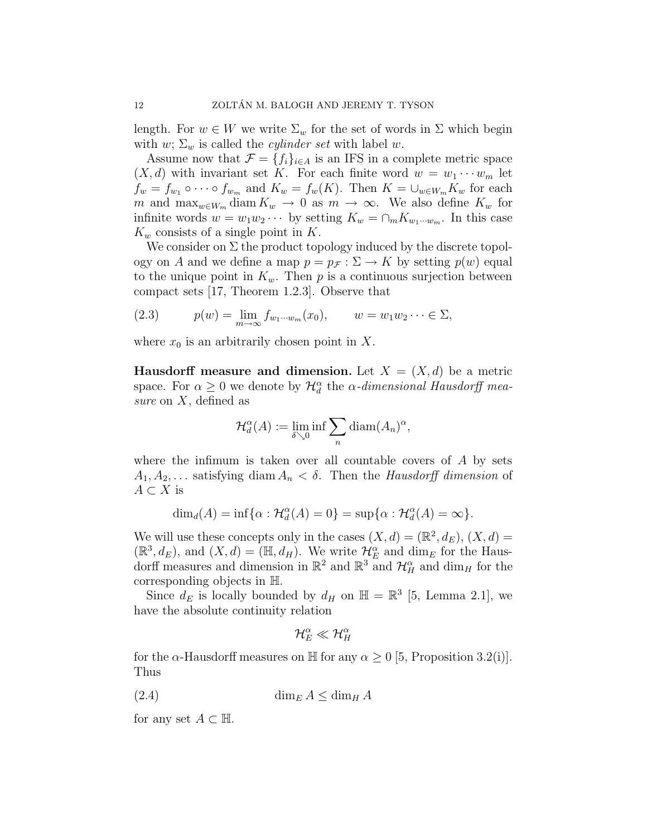length. For  $w \in W$  we write  $\Sigma_w$  for the set of words in  $\Sigma$  which begin with w;  $\Sigma_w$  is called the *cylinder set* with label w.

Assume now that  $\mathcal{F} = \{f_i\}_{i \in A}$  is an IFS in a complete metric space  $(X, d)$  with invariant set K. For each finite word  $w = w_1 \cdots w_m$  let  $f_w = f_{w_1} \circ \cdots \circ f_{w_m}$  and  $K_w = f_w(K)$ . Then  $K = \bigcup_{w \in W_m} K_w$  for each m and  $\max_{w \in W_m} \text{diam } K_w \to 0$  as  $m \to \infty$ . We also define  $K_w$  for infinite words  $w = w_1w_2\cdots$  by setting  $K_w = \cap_m K_{w_1\cdots w_m}$ . In this case  $K_w$  consists of a single point in K.

We consider on  $\Sigma$  the product topology induced by the discrete topology on A and we define a map  $p = p<sub>\mathcal{F}</sub>: \Sigma \to K$  by setting  $p(w)$  equal to the unique point in  $K_w$ . Then p is a continuous surjection between compact sets [17, Theorem 1.2.3]. Observe that

(2.3) 
$$
p(w) = \lim_{m \to \infty} f_{w_1 \cdots w_m}(x_0), \qquad w = w_1 w_2 \cdots \in \Sigma,
$$

where  $x_0$  is an arbitrarily chosen point in X.

**Hausdorff measure and dimension.** Let  $X = (X, d)$  be a metric space. For  $\alpha \geq 0$  we denote by  $\mathcal{H}_d^{\alpha}$  the  $\alpha$ -dimensional Hausdorff measure on  $X$ , defined as

$$
\mathcal{H}_d^{\alpha}(A) := \lim_{\delta \searrow 0} \inf \sum_n \text{diam}(A_n)^{\alpha},
$$

where the infimum is taken over all countable covers of  $A$  by sets  $A_1, A_2, \ldots$  satisfying diam  $A_n < \delta$ . Then the Hausdorff dimension of  $A \subset X$  is

$$
\dim_d(A) = \inf \{ \alpha : \mathcal{H}_d^{\alpha}(A) = 0 \} = \sup \{ \alpha : \mathcal{H}_d^{\alpha}(A) = \infty \}.
$$

We will use these concepts only in the cases  $(X, d) = (\mathbb{R}^2, d_E)$ ,  $(X, d) =$  $(\mathbb{R}^3, d_E)$ , and  $(X, d) = (\mathbb{H}, d_H)$ . We write  $\mathcal{H}_E^{\alpha}$  and dim<sub>E</sub> for the Hausdorff measures and dimension in  $\mathbb{R}^2$  and  $\mathbb{R}^3$  and  $\mathcal{H}_H^{\alpha}$  and dim<sub>H</sub> for the corresponding objects in H.

Since  $d_E$  is locally bounded by  $d_H$  on  $\mathbb{H} = \mathbb{R}^3$  [5, Lemma 2.1], we have the absolute continuity relation

$$
\mathcal{H}_E^\alpha\ll\mathcal{H}_H^\alpha
$$

for the  $\alpha$ -Hausdorff measures on H for any  $\alpha \geq 0$  [5, Proposition 3.2(i)]. Thus

$$
(2.4) \t\dim_E A \le \dim_H A
$$

for any set  $A \subset \mathbb{H}$ .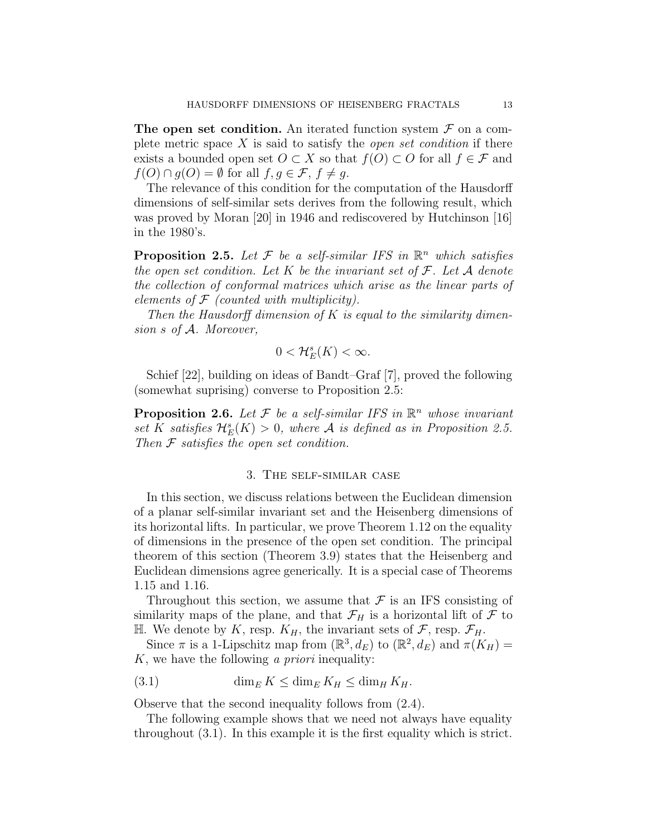The open set condition. An iterated function system  $\mathcal F$  on a complete metric space  $X$  is said to satisfy the *open set condition* if there exists a bounded open set  $O \subset X$  so that  $f(O) \subset O$  for all  $f \in \mathcal{F}$  and  $f(O) \cap g(O) = \emptyset$  for all  $f, g \in \mathcal{F}, f \neq g$ .

The relevance of this condition for the computation of the Hausdorff dimensions of self-similar sets derives from the following result, which was proved by Moran [20] in 1946 and rediscovered by Hutchinson [16] in the 1980's.

**Proposition 2.5.** Let  $\mathcal{F}$  be a self-similar IFS in  $\mathbb{R}^n$  which satisfies the open set condition. Let K be the invariant set of  $\mathcal{F}$ . Let A denote the collection of conformal matrices which arise as the linear parts of elements of  $F$  (counted with multiplicity).

Then the Hausdorff dimension of K is equal to the similarity dimension s of A. Moreover,

$$
0<\mathcal{H}_E^s(K)<\infty.
$$

Schief [22], building on ideas of Bandt–Graf [7], proved the following (somewhat suprising) converse to Proposition 2.5:

**Proposition 2.6.** Let  $\mathcal F$  be a self-similar IFS in  $\mathbb R^n$  whose invariant set K satisfies  $\mathcal{H}_E^s(K) > 0$ , where A is defined as in Proposition 2.5. Then  $\mathcal F$  satisfies the open set condition.

### 3. The self-similar case

In this section, we discuss relations between the Euclidean dimension of a planar self-similar invariant set and the Heisenberg dimensions of its horizontal lifts. In particular, we prove Theorem 1.12 on the equality of dimensions in the presence of the open set condition. The principal theorem of this section (Theorem 3.9) states that the Heisenberg and Euclidean dimensions agree generically. It is a special case of Theorems 1.15 and 1.16.

Throughout this section, we assume that  $\mathcal F$  is an IFS consisting of similarity maps of the plane, and that  $\mathcal{F}_H$  is a horizontal lift of  $\mathcal F$  to H. We denote by K, resp.  $K_H$ , the invariant sets of  $\mathcal{F}$ , resp.  $\mathcal{F}_H$ .

Since  $\pi$  is a 1-Lipschitz map from  $(\mathbb{R}^3, d_E)$  to  $(\mathbb{R}^2, d_E)$  and  $\pi(K_H) =$ K, we have the following a priori inequality:

(3.1) 
$$
\dim_E K \leq \dim_E K_H \leq \dim_H K_H.
$$

Observe that the second inequality follows from (2.4).

The following example shows that we need not always have equality throughout (3.1). In this example it is the first equality which is strict.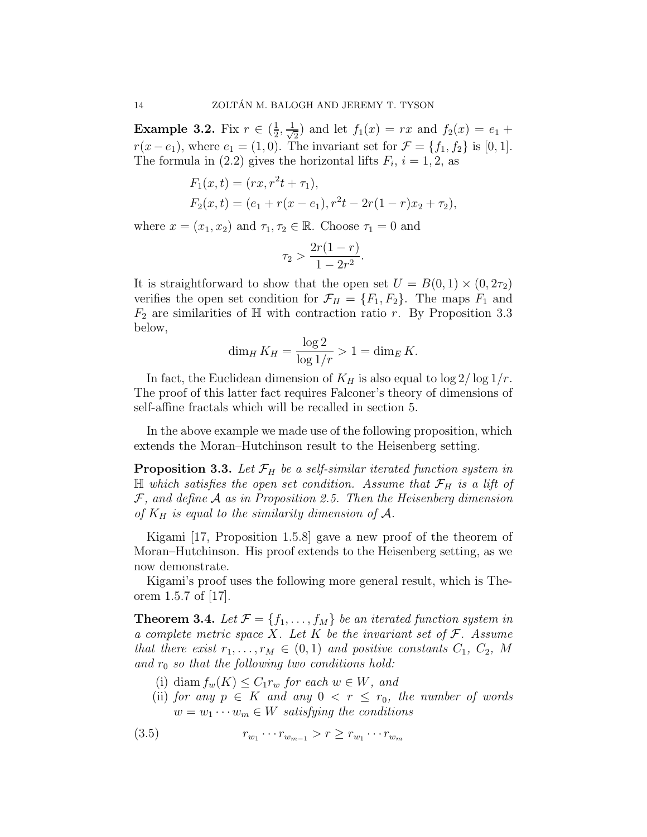Example 3.2. Fix  $r \in (\frac{1}{2})$  $\frac{1}{2}, \frac{1}{\sqrt{2}}$  $\frac{1}{2}$  and let  $f_1(x) = rx$  and  $f_2(x) = e_1 +$  $r(x-e_1)$ , where  $e_1 = (1,0)$ . The invariant set for  $\mathcal{F} = \{f_1, f_2\}$  is [0, 1]. The formula in (2.2) gives the horizontal lifts  $F_i$ ,  $i = 1, 2$ , as

$$
F_1(x,t) = (rx, r^2t + \tau_1),
$$
  
\n
$$
F_2(x,t) = (e_1 + r(x - e_1), r^2t - 2r(1 - r)x_2 + \tau_2),
$$

where  $x = (x_1, x_2)$  and  $\tau_1, \tau_2 \in \mathbb{R}$ . Choose  $\tau_1 = 0$  and

$$
\tau_2 > \frac{2r(1-r)}{1-2r^2}.
$$

It is straightforward to show that the open set  $U = B(0, 1) \times (0, 2\tau_2)$ verifies the open set condition for  $\mathcal{F}_H = \{F_1, F_2\}$ . The maps  $F_1$  and  $F_2$  are similarities of H with contraction ratio r. By Proposition 3.3 below,

$$
\dim_H K_H = \frac{\log 2}{\log 1/r} > 1 = \dim_E K.
$$

In fact, the Euclidean dimension of  $K_H$  is also equal to  $\log 2/\log 1/r$ . The proof of this latter fact requires Falconer's theory of dimensions of self-affine fractals which will be recalled in section 5.

In the above example we made use of the following proposition, which extends the Moran–Hutchinson result to the Heisenberg setting.

**Proposition 3.3.** Let  $\mathcal{F}_H$  be a self-similar iterated function system in  $\mathbb H$  which satisfies the open set condition. Assume that  $\mathcal F_H$  is a lift of  $F$ , and define  $A$  as in Proposition 2.5. Then the Heisenberg dimension of  $K_H$  is equal to the similarity dimension of  $A$ .

Kigami [17, Proposition 1.5.8] gave a new proof of the theorem of Moran–Hutchinson. His proof extends to the Heisenberg setting, as we now demonstrate.

Kigami's proof uses the following more general result, which is Theorem  $1.5.7$  of  $|17|$ .

**Theorem 3.4.** Let  $\mathcal{F} = \{f_1, \ldots, f_M\}$  be an iterated function system in a complete metric space X. Let K be the invariant set of  $\mathcal F$ . Assume that there exist  $r_1, \ldots, r_M \in (0,1)$  and positive constants  $C_1, C_2, M$ and  $r_0$  so that the following two conditions hold:

- (i) diam  $f_w(K) \leq C_1 r_w$  for each  $w \in W$ , and
- (ii) for any  $p \in K$  and any  $0 \leq r \leq r_0$ , the number of words  $w = w_1 \cdots w_m \in W$  satisfying the conditions

$$
(3.5) \t\t\t r_{w_1} \cdots r_{w_{m-1}} > r \ge r_{w_1} \cdots r_{w_m}
$$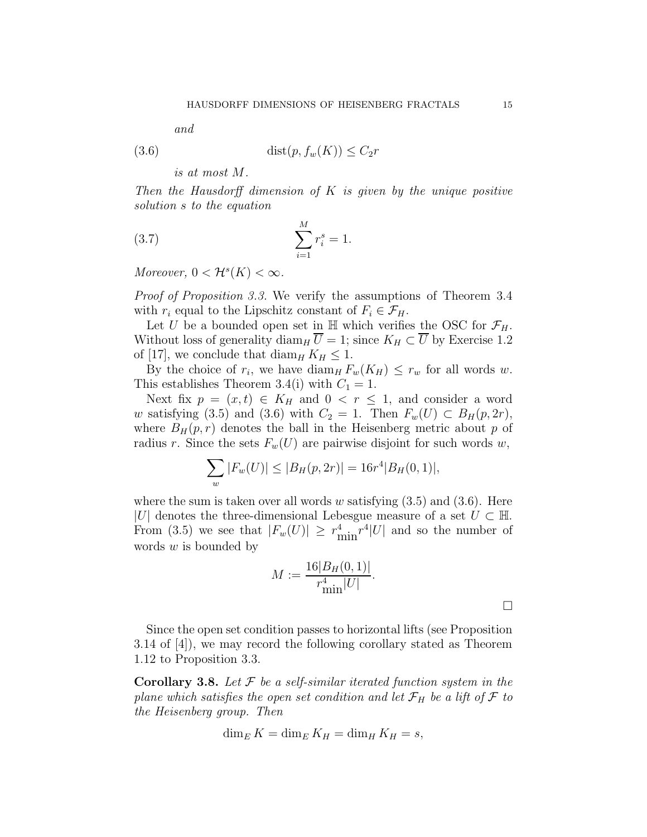and

$$
(3.6) \qquad \qquad \text{dist}(p, f_w(K)) \le C_2 r
$$

is at most M.

Then the Hausdorff dimension of  $K$  is given by the unique positive solution s to the equation

(3.7) 
$$
\sum_{i=1}^{M} r_i^s = 1.
$$

Moreover,  $0 < H^s(K) < \infty$ .

Proof of Proposition 3.3. We verify the assumptions of Theorem 3.4 with  $r_i$  equal to the Lipschitz constant of  $F_i \in \mathcal{F}_H$ .

Let U be a bounded open set in  $\mathbb H$  which verifies the OSC for  $\mathcal F_H$ . Without loss of generality diam<sub>H</sub>  $\overline{U} = 1$ ; since  $K_H \subset \overline{U}$  by Exercise 1.2 of [17], we conclude that diam<sub>H</sub>  $K_H \leq 1$ .

By the choice of  $r_i$ , we have  $\text{diam}_H F_w(K_H) \leq r_w$  for all words w. This establishes Theorem 3.4(i) with  $C_1 = 1$ .

Next fix  $p = (x,t) \in K_H$  and  $0 < r \le 1$ , and consider a word w satisfying (3.5) and (3.6) with  $C_2 = 1$ . Then  $F_w(U) \subset B_H(p, 2r)$ , where  $B_H(p,r)$  denotes the ball in the Heisenberg metric about p of radius r. Since the sets  $F_w(U)$  are pairwise disjoint for such words w,

$$
\sum_{w} |F_w(U)| \le |B_H(p, 2r)| = 16r^4|B_H(0, 1)|,
$$

where the sum is taken over all words w satisfying  $(3.5)$  and  $(3.6)$ . Here |U| denotes the three-dimensional Lebesgue measure of a set  $U \subset \mathbb{H}$ . From (3.5) we see that  $|F_w(U)| \geq r_{\min}^4 r^4|U|$  and so the number of words  $w$  is bounded by

$$
M := \frac{16|B_H(0,1)|}{r_{\min}^4|U|}.
$$

Since the open set condition passes to horizontal lifts (see Proposition 3.14 of [4]), we may record the following corollary stated as Theorem 1.12 to Proposition 3.3.

**Corollary 3.8.** Let  $\mathcal F$  be a self-similar iterated function system in the plane which satisfies the open set condition and let  $\mathcal{F}_H$  be a lift of  $\mathcal F$  to the Heisenberg group. Then

$$
\dim_E K = \dim_E K_H = \dim_H K_H = s,
$$

 $\Box$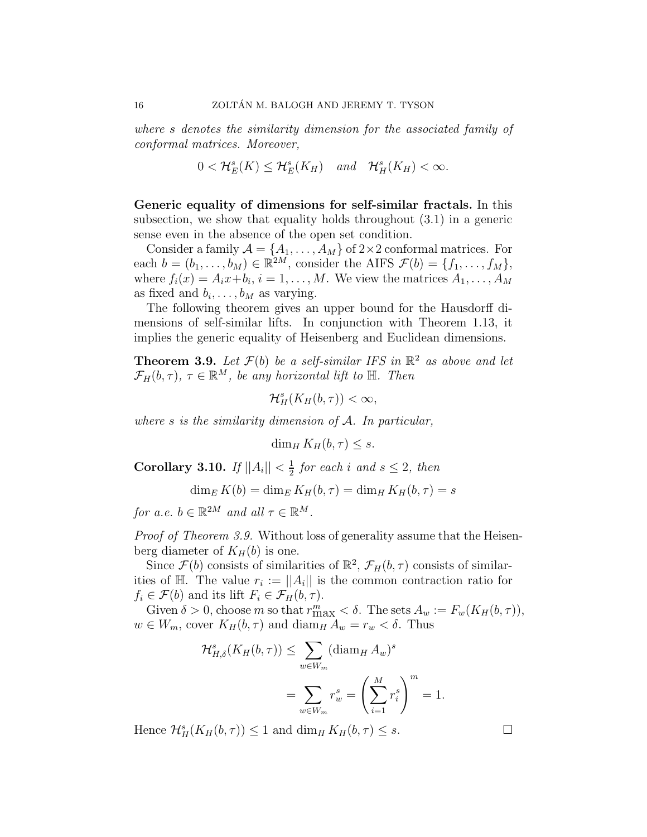where s denotes the similarity dimension for the associated family of conformal matrices. Moreover,

$$
0 < \mathcal{H}_E^s(K) \leq \mathcal{H}_E^s(K_H) \quad \text{and} \quad \mathcal{H}_H^s(K_H) < \infty.
$$

Generic equality of dimensions for self-similar fractals. In this subsection, we show that equality holds throughout (3.1) in a generic sense even in the absence of the open set condition.

Consider a family  $\mathcal{A} = \{A_1, \ldots, A_M\}$  of  $2 \times 2$  conformal matrices. For each  $b = (b_1, \ldots, b_M) \in \mathbb{R}^{2M}$ , consider the AIFS  $\mathcal{F}(b) = \{f_1, \ldots, f_M\}$ , where  $f_i(x) = A_i x + b_i$ ,  $i = 1, ..., M$ . We view the matrices  $A_1, ..., A_M$ as fixed and  $b_i, \ldots, b_M$  as varying.

The following theorem gives an upper bound for the Hausdorff dimensions of self-similar lifts. In conjunction with Theorem 1.13, it implies the generic equality of Heisenberg and Euclidean dimensions.

**Theorem 3.9.** Let  $\mathcal{F}(b)$  be a self-similar IFS in  $\mathbb{R}^2$  as above and let  $\mathcal{F}_H(b,\tau), \tau \in \mathbb{R}^M$ , be any horizontal lift to  $\mathbb{H}$ . Then

 $\mathcal{H}^s_H(K_H(b,\tau)) < \infty,$ 

where  $s$  is the similarity dimension of  $A$ . In particular,

 $\dim_H K_H(b, \tau) \leq s.$ 

Corollary 3.10. If  $||A_i|| < \frac{1}{2}$  $\frac{1}{2}$  for each i and  $s \leq 2$ , then

 $\dim_E K(b) = \dim_E K_H(b, \tau) = \dim_H K_H(b, \tau) = s$ 

for a.e.  $b \in \mathbb{R}^{2M}$  and all  $\tau \in \mathbb{R}^{M}$ .

Proof of Theorem 3.9. Without loss of generality assume that the Heisenberg diameter of  $K_H(b)$  is one.

Since  $\mathcal{F}(b)$  consists of similarities of  $\mathbb{R}^2$ ,  $\mathcal{F}_H(b,\tau)$  consists of similarities of H. The value  $r_i := ||A_i||$  is the common contraction ratio for  $f_i \in \mathcal{F}(b)$  and its lift  $F_i \in \mathcal{F}_H(b, \tau)$ .

Given  $\delta > 0$ , choose m so that  $r_{\max}^m < \delta$ . The sets  $A_w := F_w(K_H(b, \tau)),$  $w \in W_m$ , cover  $K_H(b, \tau)$  and  $\text{diam}_H A_w = r_w < \delta$ . Thus

$$
\mathcal{H}_{H,\delta}^s(K_H(b,\tau)) \le \sum_{w \in W_m} (\operatorname{diam}_H A_w)^s
$$
  
= 
$$
\sum_{w \in W_m} r_w^s = \left(\sum_{i=1}^M r_i^s\right)^m = 1.
$$

Hence  $\mathcal{H}^s_H(K_H(b,\tau)) \leq 1$  and  $\dim_H K_H(b,\tau) \leq s$ .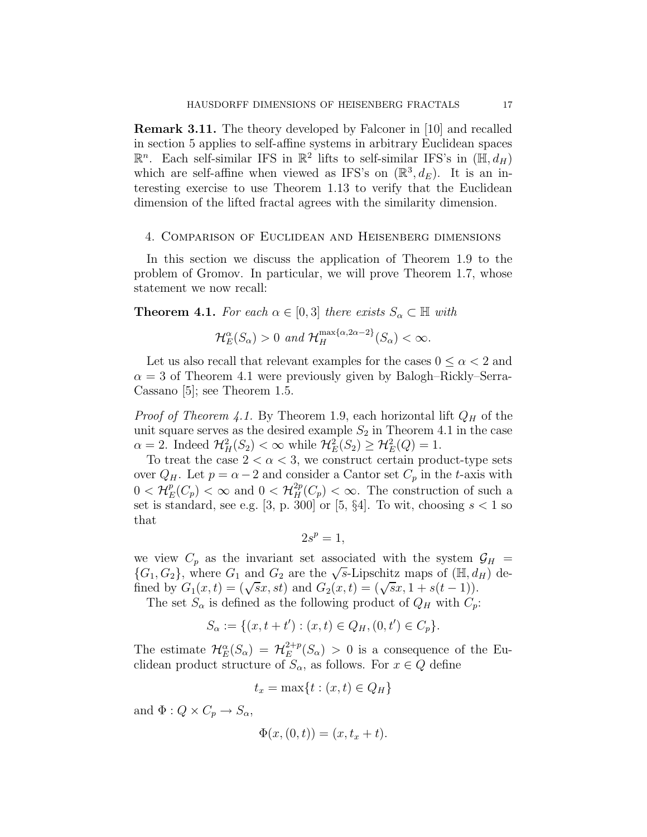Remark 3.11. The theory developed by Falconer in [10] and recalled in section 5 applies to self-affine systems in arbitrary Euclidean spaces  $\mathbb{R}^n$ . Each self-similar IFS in  $\mathbb{R}^2$  lifts to self-similar IFS's in  $(\mathbb{H}, d_H)$ which are self-affine when viewed as IFS's on  $(\mathbb{R}^3, d_E)$ . It is an interesting exercise to use Theorem 1.13 to verify that the Euclidean dimension of the lifted fractal agrees with the similarity dimension.

#### 4. Comparison of Euclidean and Heisenberg dimensions

In this section we discuss the application of Theorem 1.9 to the problem of Gromov. In particular, we will prove Theorem 1.7, whose statement we now recall:

**Theorem 4.1.** For each  $\alpha \in [0,3]$  there exists  $S_{\alpha} \subset \mathbb{H}$  with

$$
\mathcal{H}_E^{\alpha}(S_{\alpha}) > 0 \text{ and } \mathcal{H}_H^{\max{\{\alpha,2\alpha-2\}}}(S_{\alpha}) < \infty.
$$

Let us also recall that relevant examples for the cases  $0 \leq \alpha < 2$  and  $\alpha = 3$  of Theorem 4.1 were previously given by Balogh–Rickly–Serra-Cassano [5]; see Theorem 1.5.

*Proof of Theorem 4.1.* By Theorem 1.9, each horizontal lift  $Q_H$  of the unit square serves as the desired example  $S_2$  in Theorem 4.1 in the case  $\alpha = 2$ . Indeed  $\mathcal{H}_H^2(S_2) < \infty$  while  $\mathcal{H}_E^2(S_2) \geq \mathcal{H}_E^2(Q) = 1$ .

To treat the case  $2 < \alpha < 3$ , we construct certain product-type sets over  $Q_H$ . Let  $p = \alpha - 2$  and consider a Cantor set  $C_p$  in the t-axis with  $0<\mathcal{H}^p_E$  $E(E_p) < \infty$  and  $0 < H_H^{2p}(C_p) < \infty$ . The construction of such a set is standard, see e.g. [3, p. 300] or [5,  $\S4$ ]. To wit, choosing  $s < 1$  so that

$$
2s^p=1,
$$

we view  $C_p$  as the invariant set associated with the system  $\mathcal{G}_H$  =  ${G_1, G_2}$ , where  $G_1$  and  $G_2$  are the  $\sqrt{s}$ -Lipschitz maps of  $(\mathbb{H}, d_H)$  defined by  $G_1(x,t) = (\sqrt{s}x, st)$  and  $G_2(x,t) = (\sqrt{s}x, 1 + s(t-1)).$ 

The set  $S_{\alpha}$  is defined as the following product of  $Q_H$  with  $C_p$ :

$$
S_{\alpha} := \{ (x, t + t') : (x, t) \in Q_H, (0, t') \in C_p \}.
$$

The estimate  $\mathcal{H}_E^{\alpha}(S_{\alpha}) = \mathcal{H}_E^{2+p}$  $E^{2+p}(S_{\alpha}) > 0$  is a consequence of the Euclidean product structure of  $S_{\alpha}$ , as follows. For  $x \in Q$  define

$$
t_x = \max\{t : (x, t) \in Q_H\}
$$

and  $\Phi: Q \times C_n \to S_\alpha$ ,

$$
\Phi(x,(0,t))=(x,t_x+t).
$$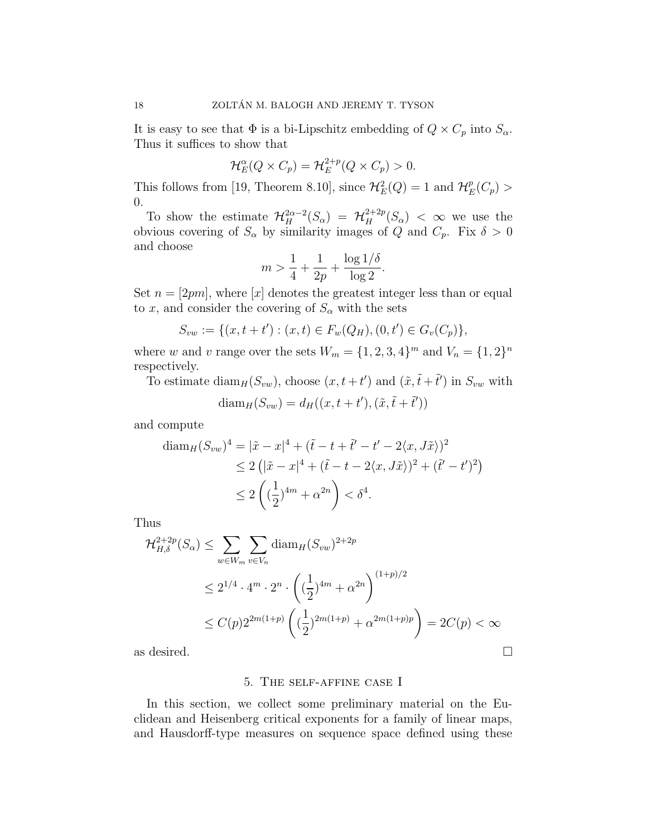It is easy to see that  $\Phi$  is a bi-Lipschitz embedding of  $Q \times C_p$  into  $S_\alpha$ . Thus it suffices to show that

$$
\mathcal{H}_E^{\alpha}(Q \times C_p) = \mathcal{H}_E^{2+p}(Q \times C_p) > 0.
$$

This follows from [19, Theorem 8.10], since  $\mathcal{H}_E^2(Q) = 1$  and  $\mathcal{H}_E^p$  $_{E}^{p}(C_{p})$  > 0.

To show the estimate  $\mathcal{H}^{2\alpha-2}_H(S_\alpha) = \mathcal{H}^{2+2p}_H(S_\alpha) < \infty$  we use the obvious covering of  $S_{\alpha}$  by similarity images of Q and  $C_p$ . Fix  $\delta > 0$ and choose

$$
m > \frac{1}{4} + \frac{1}{2p} + \frac{\log 1/\delta}{\log 2}.
$$

Set  $n = [2pm]$ , where  $[x]$  denotes the greatest integer less than or equal to x, and consider the covering of  $S_\alpha$  with the sets

$$
S_{vw} := \{(x, t + t'): (x, t) \in F_w(Q_H), (0, t') \in G_v(C_p)\},\
$$

where w and v range over the sets  $W_m = \{1, 2, 3, 4\}^m$  and  $V_n = \{1, 2\}^n$ respectively.

To estimate  $\text{diam}_H(S_{vw})$ , choose  $(x, t+t')$  and  $(\tilde{x}, \tilde{t} + \tilde{t}')$  in  $S_{vw}$  with

$$
diam_H(S_{vw}) = d_H((x, t + t'), (\tilde{x}, \tilde{t} + \tilde{t}'))
$$

and compute

$$
\begin{aligned} \text{diam}_H(S_{vw})^4 &= |\tilde{x} - x|^4 + (\tilde{t} - t + \tilde{t}' - t' - 2\langle x, J\tilde{x} \rangle)^2 \\ &\le 2\left( |\tilde{x} - x|^4 + (\tilde{t} - t - 2\langle x, J\tilde{x} \rangle)^2 + (\tilde{t}' - t')^2 \right) \\ &\le 2\left( \left( \frac{1}{2} \right)^{4m} + \alpha^{2n} \right) < \delta^4. \end{aligned}
$$

Thus

$$
\mathcal{H}_{H,\delta}^{2+2p}(S_{\alpha}) \le \sum_{w \in W_m} \sum_{v \in V_n} \text{diam}_H(S_{vw})^{2+2p}
$$
  
\n
$$
\le 2^{1/4} \cdot 4^m \cdot 2^n \cdot \left( \left(\frac{1}{2}\right)^{4m} + \alpha^{2n} \right)^{(1+p)/2}
$$
  
\n
$$
\le C(p) 2^{2m(1+p)} \left( \left(\frac{1}{2}\right)^{2m(1+p)} + \alpha^{2m(1+p)p} \right) = 2C(p) < \infty
$$

as desired.

### 5. The self-affine case I

In this section, we collect some preliminary material on the Euclidean and Heisenberg critical exponents for a family of linear maps, and Hausdorff-type measures on sequence space defined using these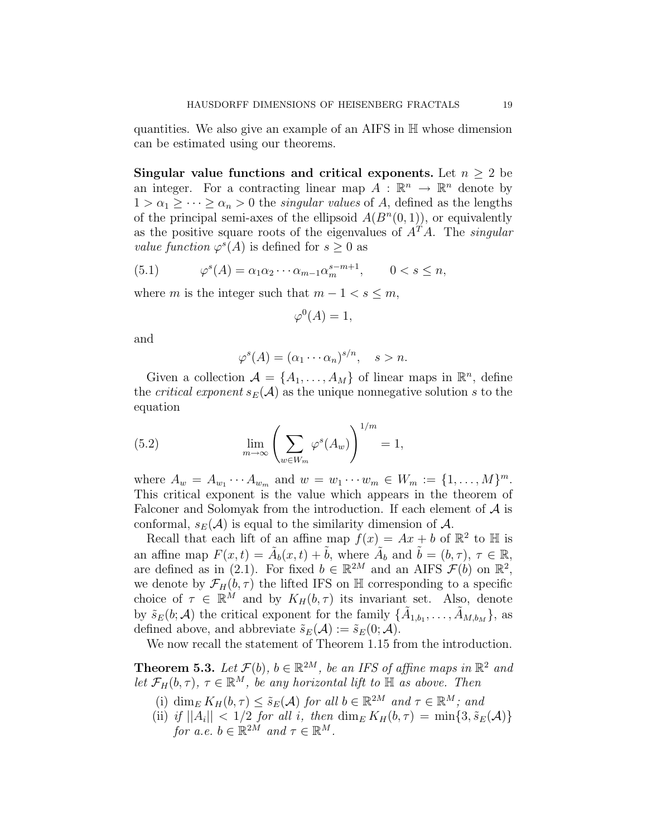quantities. We also give an example of an AIFS in H whose dimension can be estimated using our theorems.

Singular value functions and critical exponents. Let  $n \geq 2$  be an integer. For a contracting linear map  $A: \mathbb{R}^n \to \mathbb{R}^n$  denote by  $1 > \alpha_1 \geq \cdots \geq \alpha_n > 0$  the *singular values* of A, defined as the lengths of the principal semi-axes of the ellipsoid  $A(B<sup>n</sup>(0,1))$ , or equivalently as the positive square roots of the eigenvalues of  $A<sup>T</sup>A$ . The *singular value function*  $\varphi^{s}(A)$  is defined for  $s \geq 0$  as

(5.1) 
$$
\varphi^s(A) = \alpha_1 \alpha_2 \cdots \alpha_{m-1} \alpha_m^{s-m+1}, \qquad 0 < s \leq n,
$$

where m is the integer such that  $m - 1 < s \le m$ ,

$$
\varphi^0(A) = 1,
$$

and

$$
\varphi^s(A) = (\alpha_1 \cdots \alpha_n)^{s/n}, \quad s > n.
$$

Given a collection  $\mathcal{A} = \{A_1, \ldots, A_M\}$  of linear maps in  $\mathbb{R}^n$ , define the *critical exponent*  $s_E(\mathcal{A})$  as the unique nonnegative solution s to the equation

(5.2) 
$$
\lim_{m \to \infty} \left( \sum_{w \in W_m} \varphi^s(A_w) \right)^{1/m} = 1,
$$

where  $A_w = A_{w_1} \cdots A_{w_m}$  and  $w = w_1 \cdots w_m \in W_m := \{1, \ldots, M\}^m$ . This critical exponent is the value which appears in the theorem of Falconer and Solomyak from the introduction. If each element of  $A$  is conformal,  $s_E(\mathcal{A})$  is equal to the similarity dimension of  $\mathcal{A}$ .

Recall that each lift of an affine map  $f(x) = Ax + b$  of  $\mathbb{R}^2$  to  $\mathbb{H}$  is an affine map  $F(x,t) = \tilde{A}_b(x,t) + \tilde{b}$ , where  $\tilde{A}_b$  and  $\tilde{b} = (b, \tau), \tau \in \mathbb{R}$ , are defined as in (2.1). For fixed  $b \in \mathbb{R}^{2M}$  and an AIFS  $\mathcal{F}(b)$  on  $\mathbb{R}^2$ , we denote by  $\mathcal{F}_H(b,\tau)$  the lifted IFS on H corresponding to a specific choice of  $\tau \in \mathbb{R}^M$  and by  $K_H(b, \tau)$  its invariant set. Also, denote by  $\tilde{s}_E(b; \mathcal{A})$  the critical exponent for the family  $\{\tilde{A}_{1,b_1}, \ldots, \tilde{A}_{M,b_M}\},$  as defined above, and abbreviate  $\tilde{s}_E(\mathcal{A}) := \tilde{s}_E(0; \mathcal{A})$ .

We now recall the statement of Theorem 1.15 from the introduction.

**Theorem 5.3.** Let  $\mathcal{F}(b)$ ,  $b \in \mathbb{R}^{2M}$ , be an IFS of affine maps in  $\mathbb{R}^2$  and let  $\mathcal{F}_H(b,\tau)$ ,  $\tau \in \mathbb{R}^M$ , be any horizontal lift to  $\mathbb H$  as above. Then

- (i)  $\dim_E K_H(b, \tau) \leq \tilde{s}_E(\mathcal{A})$  for all  $b \in \mathbb{R}^{2M}$  and  $\tau \in \mathbb{R}^M$ ; and
- (ii) if  $||A_i|| < 1/2$  for all i, then  $\dim_E K_H(b, \tau) = \min\{3, \tilde{s}_E(\mathcal{A})\}$ for a.e.  $b \in \mathbb{R}^{2M}$  and  $\tau \in \mathbb{R}^M$ .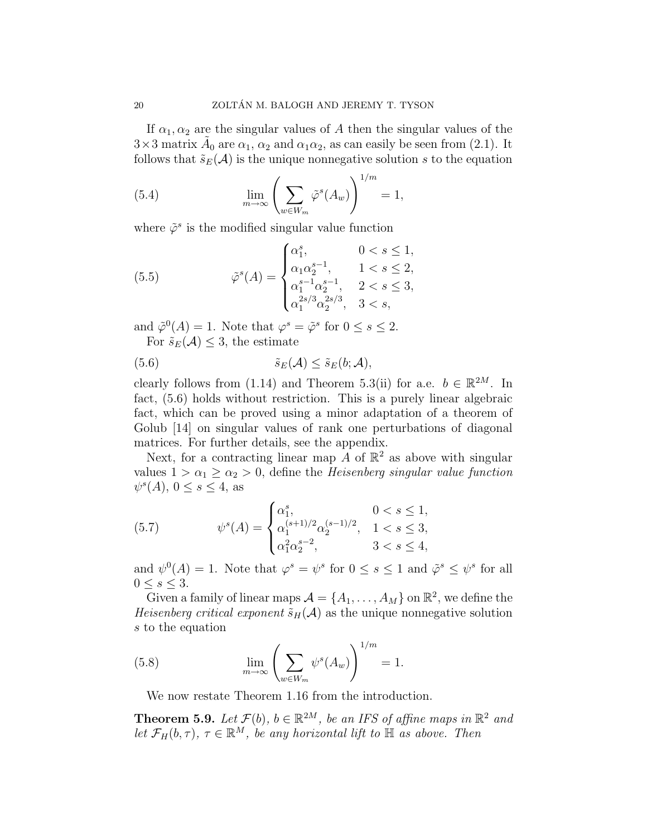If  $\alpha_1, \alpha_2$  are the singular values of A then the singular values of the  $3 \times 3$  matrix  $\tilde{A}_0$  are  $\alpha_1$ ,  $\alpha_2$  and  $\alpha_1 \alpha_2$ , as can easily be seen from (2.1). It follows that  $\tilde{s}_E(\mathcal{A})$  is the unique nonnegative solution s to the equation

(5.4) 
$$
\lim_{m \to \infty} \left( \sum_{w \in W_m} \tilde{\varphi}^s(A_w) \right)^{1/m} = 1,
$$

where  $\tilde{\varphi}^s$  is the modified singular value function

(5.5) 
$$
\tilde{\varphi}^{s}(A) = \begin{cases} \alpha_1^{s}, & 0 < s \le 1, \\ \alpha_1 \alpha_2^{s-1}, & 1 < s \le 2, \\ \alpha_1^{s-1} \alpha_2^{s-1}, & 2 < s \le 3, \\ \alpha_1^{2s/3} \alpha_2^{2s/3}, & 3 < s, \end{cases}
$$

and  $\tilde{\varphi}^0(A) = 1$ . Note that  $\varphi^s = \tilde{\varphi}^s$  for  $0 \le s \le 2$ . For  $\tilde{s}_E(\mathcal{A}) \leq 3$ , the estimate

(5.6) 
$$
\tilde{s}_E(\mathcal{A}) \leq \tilde{s}_E(b; \mathcal{A}),
$$

clearly follows from (1.14) and Theorem 5.3(ii) for a.e.  $b \in \mathbb{R}^{2M}$ . In fact, (5.6) holds without restriction. This is a purely linear algebraic fact, which can be proved using a minor adaptation of a theorem of Golub [14] on singular values of rank one perturbations of diagonal matrices. For further details, see the appendix.

Next, for a contracting linear map  $\tilde{A}$  of  $\mathbb{R}^2$  as above with singular values  $1 > \alpha_1 \geq \alpha_2 > 0$ , define the *Heisenberg singular value function*  $\psi^s(A)$ ,  $0 \le s \le 4$ , as

(5.7) 
$$
\psi^{s}(A) = \begin{cases} \alpha_1^{s}, & 0 < s \le 1, \\ \alpha_1^{(s+1)/2} \alpha_2^{(s-1)/2}, & 1 < s \le 3, \\ \alpha_1^{2} \alpha_2^{s-2}, & 3 < s \le 4, \end{cases}
$$

and  $\psi^0(A) = 1$ . Note that  $\varphi^s = \psi^s$  for  $0 \le s \le 1$  and  $\tilde{\varphi}^s \le \psi^s$  for all  $0 \leq s \leq 3$ .

Given a family of linear maps  $A = \{A_1, \ldots, A_M\}$  on  $\mathbb{R}^2$ , we define the *Heisenberg critical exponent*  $\tilde{s}_H(\mathcal{A})$  as the unique nonnegative solution s to the equation

(5.8) 
$$
\lim_{m \to \infty} \left( \sum_{w \in W_m} \psi^s(A_w) \right)^{1/m} = 1.
$$

We now restate Theorem 1.16 from the introduction.

**Theorem 5.9.** Let  $\mathcal{F}(b)$ ,  $b \in \mathbb{R}^{2M}$ , be an IFS of affine maps in  $\mathbb{R}^2$  and let  $\mathcal{F}_H(b,\tau)$ ,  $\tau \in \mathbb{R}^M$ , be any horizontal lift to  $\mathbb H$  as above. Then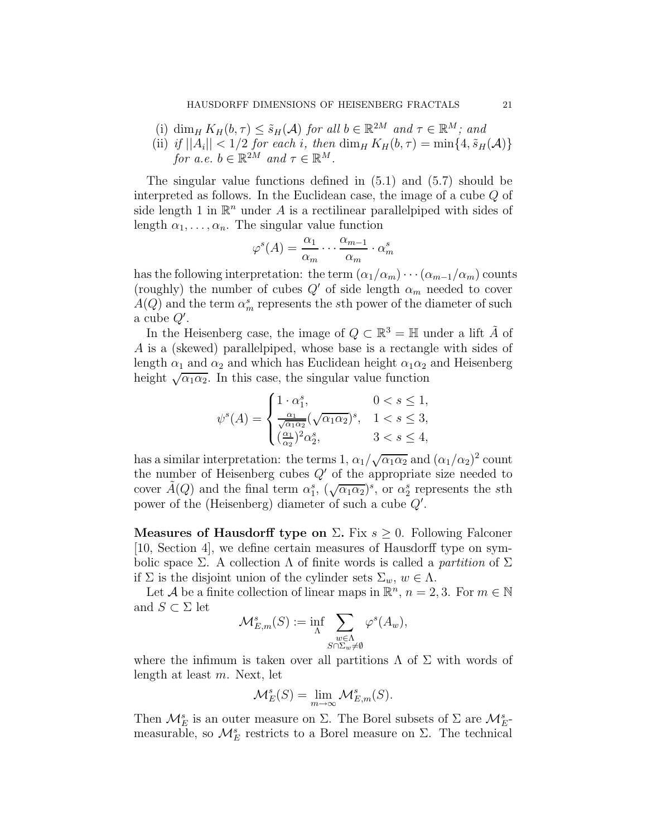- (i) dim<sub>H</sub>  $K_H(b, \tau) \leq \tilde{s}_H(\mathcal{A})$  for all  $b \in \mathbb{R}^{2M}$  and  $\tau \in \mathbb{R}^M$ ; and
- (ii) if  $||A_i|| < 1/2$  for each i, then  $\dim_H K_H(b, \tau) = \min\{4, \tilde{s}_H(A)\}\$ for a.e.  $b \in \mathbb{R}^{2M}$  and  $\tau \in \mathbb{R}^M$ .

The singular value functions defined in (5.1) and (5.7) should be interpreted as follows. In the Euclidean case, the image of a cube Q of side length 1 in  $\mathbb{R}^n$  under A is a rectilinear parallelpiped with sides of length  $\alpha_1, \ldots, \alpha_n$ . The singular value function

$$
\varphi^s(A) = \frac{\alpha_1}{\alpha_m} \cdots \frac{\alpha_{m-1}}{\alpha_m} \cdot \alpha_m^s
$$

has the following interpretation: the term  $(\alpha_1/\alpha_m)\cdots(\alpha_{m-1}/\alpha_m)$  counts (roughly) the number of cubes  $Q'$  of side length  $\alpha_m$  needed to cover  $A(Q)$  and the term  $\alpha_m^s$  represents the sth power of the diameter of such a cube  $Q'$ .

In the Heisenberg case, the image of  $Q \subset \mathbb{R}^3 = \mathbb{H}$  under a lift  $\tilde{A}$  of A is a (skewed) parallelpiped, whose base is a rectangle with sides of length  $\alpha_1$  and  $\alpha_2$  and which has Euclidean height  $\alpha_1 \alpha_2$  and Heisenberg height  $\sqrt{\alpha_1 \alpha_2}$ . In this case, the singular value function

$$
\psi^s(A) = \begin{cases} 1 \cdot \alpha_1^s, & 0 < s \le 1, \\ \frac{\alpha_1}{\sqrt{\alpha_1 \alpha_2}} (\sqrt{\alpha_1 \alpha_2})^s, & 1 < s \le 3, \\ (\frac{\alpha_1}{\alpha_2})^2 \alpha_2^s, & 3 < s \le 4, \end{cases}
$$

has a similar interpretation: the terms 1,  $\alpha_1/\sqrt{\alpha_1\alpha_2}$  and  $(\alpha_1/\alpha_2)^2$  count the number of Heisenberg cubes  $Q'$  of the appropriate size needed to cover  $\tilde{A}(Q)$  and the final term  $\alpha_1^s$ ,  $(\sqrt{\alpha_1 \alpha_2})^s$ , or  $\alpha_2^s$  represents the sth power of the (Heisenberg) diameter of such a cube  $Q'$ .

Measures of Hausdorff type on  $\Sigma$ . Fix  $s \geq 0$ . Following Falconer [10, Section 4], we define certain measures of Hausdorff type on symbolic space Σ. A collection  $\Lambda$  of finite words is called a *partition* of Σ if  $\Sigma$  is the disjoint union of the cylinder sets  $\Sigma_w$ ,  $w \in \Lambda$ .

Let A be a finite collection of linear maps in  $\mathbb{R}^n$ ,  $n = 2, 3$ . For  $m \in \mathbb{N}$ and  $S \subset \Sigma$  let

$$
\mathcal{M}_{E,m}^s(S) := \inf_{\Lambda} \sum_{\substack{w \in \Lambda \\ S \cap \Sigma_w \neq \emptyset}} \varphi^s(A_w),
$$

where the infimum is taken over all partitions  $\Lambda$  of  $\Sigma$  with words of length at least m. Next, let

$$
\mathcal{M}_E^s(S) = \lim_{m \to \infty} \mathcal{M}_{E,m}^s(S).
$$

Then  $\mathcal{M}_{E}^{s}$  is an outer measure on  $\Sigma$ . The Borel subsets of  $\Sigma$  are  $\mathcal{M}_{E}^{s}$ . measurable, so  $\mathcal{M}_E^s$  restricts to a Borel measure on  $\Sigma$ . The technical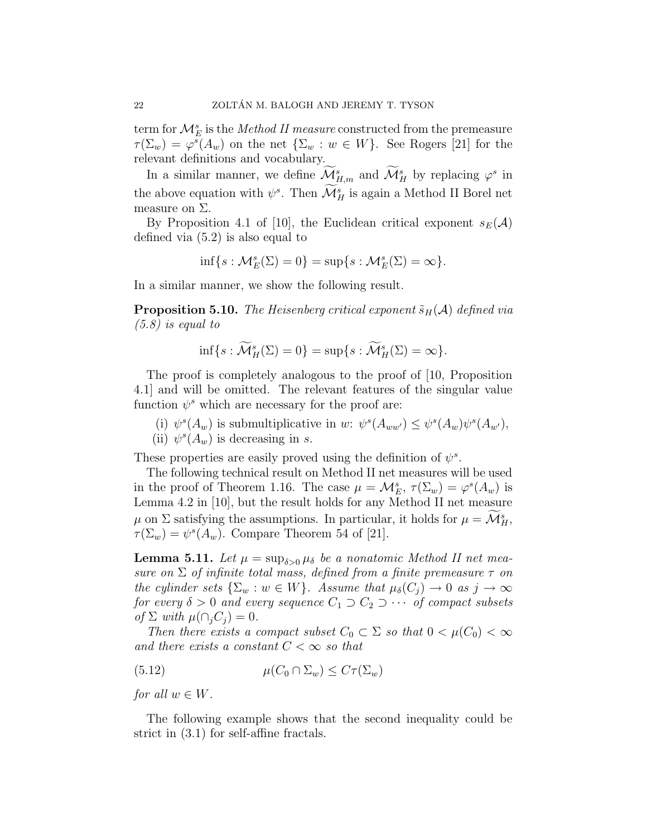term for  $\mathcal{M}_{E}^{s}$  is the *Method II measure* constructed from the premeasure  $\tau(\Sigma_w) = \varphi^s(A_w)$  on the net  $\{\Sigma_w : w \in W\}$ . See Rogers [21] for the relevant definitions and vocabulary.

In a similar manner, we define  $\mathcal{M}_{H,m}^s$  and  $\mathcal{M}_H^s$  by replacing  $\varphi^s$  in the above equation with  $\psi^s$ . Then  $\mathcal{M}_H^s$  is again a Method II Borel net measure on  $\Sigma$ .

By Proposition 4.1 of [10], the Euclidean critical exponent  $s_E(\mathcal{A})$ defined via (5.2) is also equal to

$$
\inf\{s:\mathcal{M}_E^s(\Sigma)=0\}=\sup\{s:\mathcal{M}_E^s(\Sigma)=\infty\}.
$$

In a similar manner, we show the following result.

**Proposition 5.10.** The Heisenberg critical exponent  $\tilde{s}_H(\mathcal{A})$  defined via  $(5.8)$  is equal to

$$
\inf\{s:\widetilde{\mathcal{M}}_H^s(\Sigma)=0\}=\sup\{s:\widetilde{\mathcal{M}}_H^s(\Sigma)=\infty\}.
$$

The proof is completely analogous to the proof of [10, Proposition 4.1] and will be omitted. The relevant features of the singular value function  $\psi^s$  which are necessary for the proof are:

- (i)  $\psi^s(A_w)$  is submultiplicative in w:  $\psi^s(A_{ww'}) \leq \psi^s(A_w)\psi^s(A_{w'}),$
- (ii)  $\psi^s(A_w)$  is decreasing in s.

These properties are easily proved using the definition of  $\psi^s$ .

The following technical result on Method II net measures will be used in the proof of Theorem 1.16. The case  $\mu = \mathcal{M}_{E}^s$ ,  $\tau(\Sigma_w) = \varphi^s(A_w)$  is Lemma 4.2 in [10], but the result holds for any Method II net measure  $\mu$  on  $\Sigma$  satisfying the assumptions. In particular, it holds for  $\mu = \mathcal{M}_{H}^{s}$ ,  $\tau(\Sigma_w) = \psi^s(A_w)$ . Compare Theorem 54 of [21].

**Lemma 5.11.** Let  $\mu = \sup_{\delta > 0} \mu_{\delta}$  be a nonatomic Method II net measure on  $\Sigma$  of infinite total mass, defined from a finite premeasure  $\tau$  on the cylinder sets  $\{\Sigma_w : w \in W\}$ . Assume that  $\mu_{\delta}(C_i) \to 0$  as  $j \to \infty$ for every  $\delta > 0$  and every sequence  $C_1 \supset C_2 \supset \cdots$  of compact subsets of  $\Sigma$  with  $\mu(\bigcap_i C_i) = 0$ .

Then there exists a compact subset  $C_0 \subset \Sigma$  so that  $0 < \mu(C_0) < \infty$ and there exists a constant  $C < \infty$  so that

(5.12) 
$$
\mu(C_0 \cap \Sigma_w) \leq C\tau(\Sigma_w)
$$

for all  $w \in W$ .

The following example shows that the second inequality could be strict in (3.1) for self-affine fractals.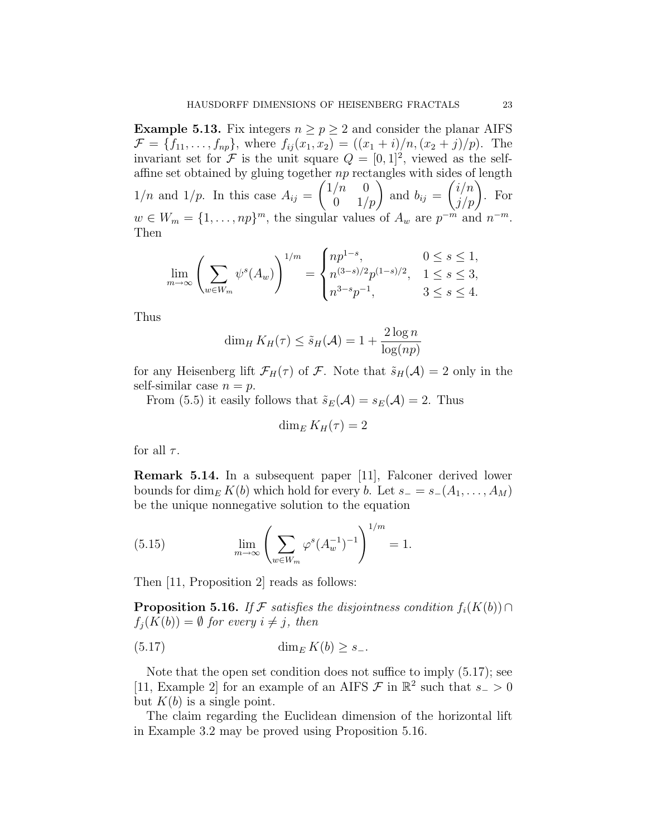**Example 5.13.** Fix integers  $n \geq p \geq 2$  and consider the planar AIFS  $\mathcal{F} = \{f_{11}, \ldots, f_{np}\},\$  where  $f_{ij}(x_1, x_2) = ((x_1 + i)/n, (x_2 + j)/p).$  The invariant set for  $\mathcal F$  is the unit square  $Q = [0, 1]^2$ , viewed as the selfaffine set obtained by gluing together  $np$  rectangles with sides of length  $1/n$  and  $1/p$ . In this case  $A_{ij} =$  $\begin{pmatrix} 1/n & 0 \\ 0 & 1/p \end{pmatrix}$  and  $b_{ij} =$  $\binom{i/n}{j/p}$ . For  $w \in W_m = \{1, \ldots, np\}^m$ , the singular values of  $A_w$  are  $p^{-m}$  and  $n^{-m}$ . Then

$$
\lim_{m \to \infty} \left( \sum_{w \in W_m} \psi^s(A_w) \right)^{1/m} = \begin{cases} np^{1-s}, & 0 \le s \le 1, \\ n^{(3-s)/2} p^{(1-s)/2}, & 1 \le s \le 3, \\ n^{3-s} p^{-1}, & 3 \le s \le 4. \end{cases}
$$

Thus

$$
\dim_H K_H(\tau) \leq \tilde{s}_H(\mathcal{A}) = 1 + \frac{2\log n}{\log(np)}
$$

for any Heisenberg lift  $\mathcal{F}_H(\tau)$  of  $\mathcal F$ . Note that  $\tilde{s}_H(\mathcal{A})=2$  only in the self-similar case  $n = p$ .

From (5.5) it easily follows that  $\tilde{s}_E(\mathcal{A}) = s_E(\mathcal{A}) = 2$ . Thus

$$
\dim_E K_H(\tau) = 2
$$

for all  $\tau$ .

Remark 5.14. In a subsequent paper [11], Falconer derived lower bounds for dim<sub>E</sub> K(b) which hold for every b. Let  $s_-=s_-(A_1,\ldots,A_M)$ be the unique nonnegative solution to the equation

(5.15) 
$$
\lim_{m \to \infty} \left( \sum_{w \in W_m} \varphi^s (A_w^{-1})^{-1} \right)^{1/m} = 1.
$$

Then [11, Proposition 2] reads as follows:

**Proposition 5.16.** If F satisfies the disjointness condition  $f_i(K(b)) \cap$  $f_i(K(b)) = \emptyset$  for every  $i \neq j$ , then

$$
(5.17) \qquad \qquad \dim_E K(b) \ge s_-.
$$

Note that the open set condition does not suffice to imply (5.17); see [11, Example 2] for an example of an AIFS  $\mathcal F$  in  $\mathbb R^2$  such that  $s_-\geq 0$ but  $K(b)$  is a single point.

The claim regarding the Euclidean dimension of the horizontal lift in Example 3.2 may be proved using Proposition 5.16.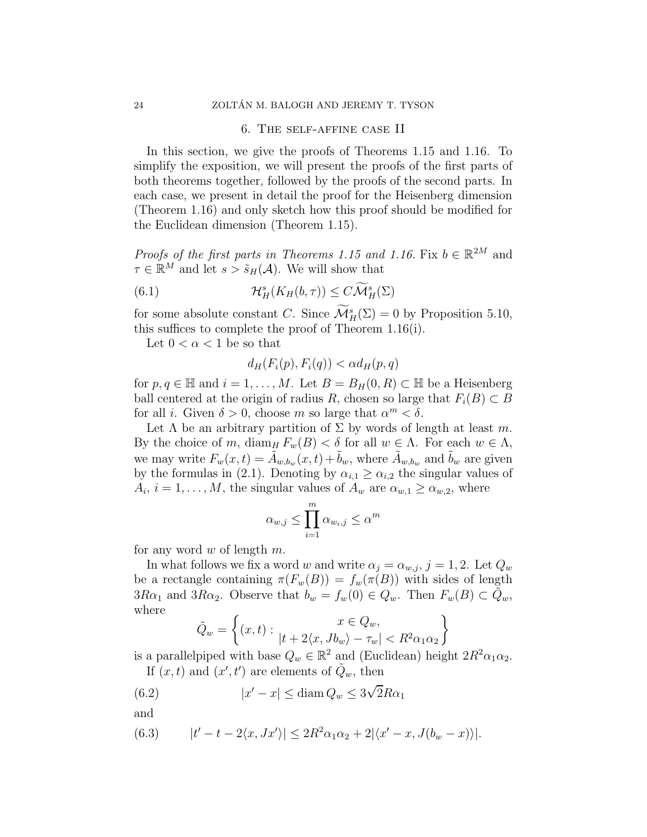### 6. The self-affine case II

In this section, we give the proofs of Theorems 1.15 and 1.16. To simplify the exposition, we will present the proofs of the first parts of both theorems together, followed by the proofs of the second parts. In each case, we present in detail the proof for the Heisenberg dimension (Theorem 1.16) and only sketch how this proof should be modified for the Euclidean dimension (Theorem 1.15).

*Proofs of the first parts in Theorems 1.15 and 1.16.* Fix  $b \in \mathbb{R}^{2M}$  and  $\tau \in \mathbb{R}^M$  and let  $s > \tilde{s}_H(\mathcal{A})$ . We will show that

(6.1) 
$$
\mathcal{H}^s_H(K_H(b,\tau)) \leq C\widetilde{\mathcal{M}}^s_H(\Sigma)
$$

for some absolute constant C. Since  $\mathcal{M}^s_H(\Sigma) = 0$  by Proposition 5.10, this suffices to complete the proof of Theorem 1.16(i).

Let  $0 < \alpha < 1$  be so that

$$
d_H(F_i(p), F_i(q)) < \alpha d_H(p, q)
$$

for  $p, q \in \mathbb{H}$  and  $i = 1, ..., M$ . Let  $B = B_H(0, R) \subset \mathbb{H}$  be a Heisenberg ball centered at the origin of radius R, chosen so large that  $F_i(B) \subset B$ for all *i*. Given  $\delta > 0$ , choose *m* so large that  $\alpha^m < \delta$ .

Let  $\Lambda$  be an arbitrary partition of  $\Sigma$  by words of length at least m. By the choice of m, diam<sub>H</sub>  $F_w(B) < \delta$  for all  $w \in \Lambda$ . For each  $w \in \Lambda$ , we may write  $F_w(x,t) = \tilde{A}_{w,b_w}(x,t) + \tilde{b}_w$ , where  $\tilde{A}_{w,b_w}$  and  $\tilde{b}_w$  are given by the formulas in (2.1). Denoting by  $\alpha_{i,1} \geq \alpha_{i,2}$  the singular values of  $A_i$ ,  $i = 1, ..., M$ , the singular values of  $A_w$  are  $\alpha_{w,1} \ge \alpha_{w,2}$ , where

$$
\alpha_{w,j} \le \prod_{i=1}^m \alpha_{w_i,j} \le \alpha^m
$$

for any word w of length  $m$ .

In what follows we fix a word  $w$  and write  $\alpha_j = \alpha_{w,j}, \, j=1,2.$  Let  $Q_w$ be a rectangle containing  $\pi(F_w(B)) = f_w(\pi(B))$  with sides of length  $3R\alpha_1$  and  $3R\alpha_2$ . Observe that  $b_w = f_w(0) \in Q_w$ . Then  $F_w(B) \subset \tilde{Q}_w$ , where

$$
\tilde{Q}_w = \left\{ (x, t) : \begin{aligned} x \in Q_w, \\ |t + 2\langle x, Jb_w \rangle - \tau_w| < R^2 \alpha_1 \alpha_2 \end{aligned} \right\}
$$

is a parallelpiped with base  $Q_w \in \mathbb{R}^2$  and (Euclidean) height  $2R^2\alpha_1\alpha_2$ . If  $(x, t)$  and  $(x', t')$  are elements of  $\tilde{Q}_w$ , then

(6.2) 
$$
|x'-x| \leq \operatorname{diam} Q_w \leq 3\sqrt{2}R\alpha_1
$$

and

(6.3) 
$$
|t'-t-2\langle x,Jx'\rangle| \leq 2R^2\alpha_1\alpha_2 + 2|\langle x'-x,J(b_w-x)\rangle|.
$$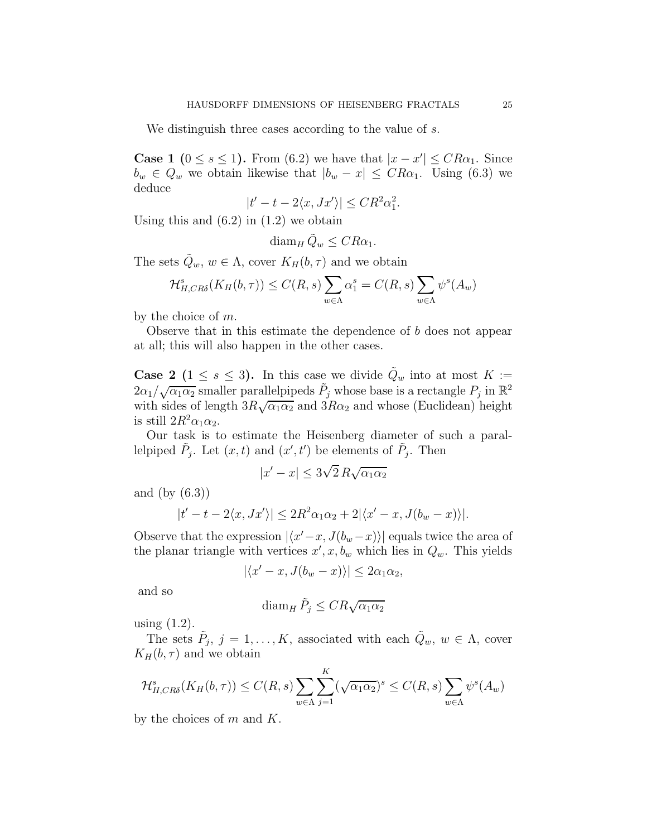We distinguish three cases according to the value of s.

**Case 1** ( $0 \leq s \leq 1$ ). From (6.2) we have that  $|x - x'| \leq CR\alpha_1$ . Since  $b_w \in Q_w$  we obtain likewise that  $|b_w - x| \leq CR\alpha_1$ . Using (6.3) we deduce

$$
|t'-t-2\langle x,Jx'\rangle| \leq CR^2\alpha_1^2.
$$

Using this and  $(6.2)$  in  $(1.2)$  we obtain

$$
\operatorname{diam}_H \tilde{Q}_w \leq CR\alpha_1.
$$

The sets  $\tilde{Q}_w, w \in \Lambda$ , cover  $K_H(b, \tau)$  and we obtain

$$
\mathcal{H}_{H,CR\delta}^s(K_H(b,\tau)) \le C(R,s) \sum_{w \in \Lambda} \alpha_1^s = C(R,s) \sum_{w \in \Lambda} \psi^s(A_w)
$$

by the choice of m.

Observe that in this estimate the dependence of b does not appear at all; this will also happen in the other cases.

**Case 2** ( $1 \leq s \leq 3$ ). In this case we divide  $\tilde{Q}_w$  into at most  $K :=$  $2\alpha_1/\sqrt{\alpha_1\alpha_2}$  smaller parallelpipeds  $\tilde{P}_j$  whose base is a rectangle  $P_j$  in  $\mathbb{R}^2$ with sides of length  $3R\sqrt{\alpha_1\alpha_2}$  and  $3R\alpha_2$  and whose (Euclidean) height is still  $2R^2\alpha_1\alpha_2$ .

Our task is to estimate the Heisenberg diameter of such a parallelpiped  $\tilde{P}_j$ . Let  $(x, t)$  and  $(x', t')$  be elements of  $\tilde{P}_j$ . Then

$$
|x'-x| \le 3\sqrt{2} \, R \sqrt{\alpha_1 \alpha_2}
$$

and (by (6.3))

$$
|t'-t-2\langle x,Jx'\rangle| \leq 2R^2\alpha_1\alpha_2 + 2|\langle x'-x,J(b_w-x)\rangle|.
$$

Observe that the expression  $|\langle x'-x, J(b_w-x)\rangle|$  equals twice the area of the planar triangle with vertices  $x', x, b_w$  which lies in  $Q_w$ . This yields

$$
|\langle x'-x, J(b_w-x)\rangle| \le 2\alpha_1\alpha_2,
$$

and so

$$
\operatorname{diam}_H \tilde{P}_j \leq C R \sqrt{\alpha_1 \alpha_2}
$$

using (1.2).

The sets  $\tilde{P}_j$ ,  $j = 1, ..., K$ , associated with each  $\tilde{Q}_w$ ,  $w \in \Lambda$ , cover  $K_H(b, \tau)$  and we obtain

$$
\mathcal{H}_{H,CR\delta}^s(K_H(b,\tau)) \le C(R,s) \sum_{w \in \Lambda} \sum_{j=1}^K (\sqrt{\alpha_1 \alpha_2})^s \le C(R,s) \sum_{w \in \Lambda} \psi^s(A_w)
$$

by the choices of  $m$  and  $K$ .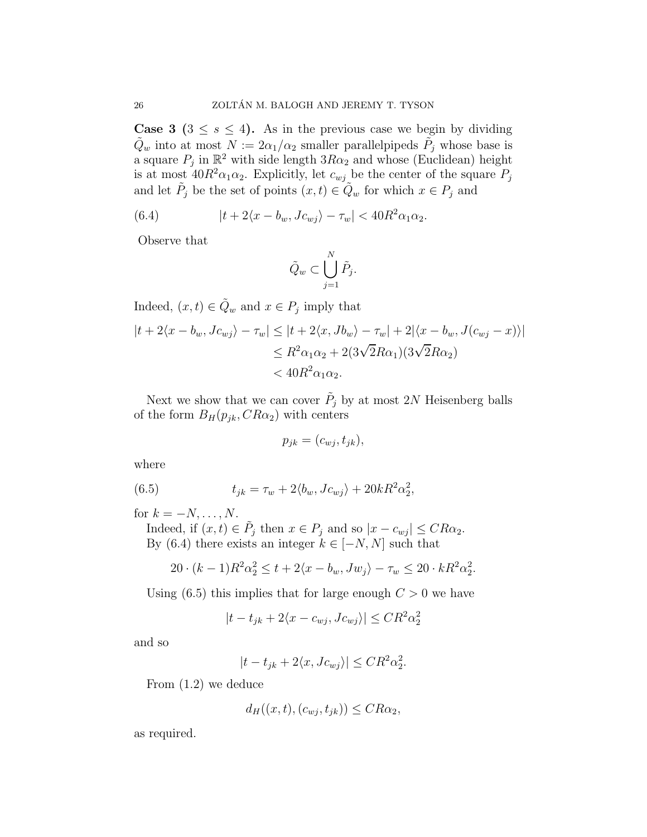**Case 3** ( $3 \leq s \leq 4$ ). As in the previous case we begin by dividing  $\tilde{Q}_w$  into at most  $N := 2\alpha_1/\alpha_2$  smaller parallelpipeds  $\tilde{P}_j$  whose base is a square  $P_j$  in  $\mathbb{R}^2$  with side length  $3R\alpha_2$  and whose (Euclidean) height is at most  $40R^2\alpha_1\alpha_2$ . Explicitly, let  $c_{wj}$  be the center of the square  $P_j$ and let  $\tilde{P}_j$  be the set of points  $(x,t) \in \tilde{Q}_w$  for which  $x \in P_j$  and

(6.4) 
$$
|t+2\langle x-b_w, Jc_{wj}\rangle - \tau_w| < 40R^2\alpha_1\alpha_2.
$$

Observe that

$$
\tilde{Q}_w \subset \bigcup_{j=1}^N \tilde{P}_j.
$$

Indeed,  $(x,t) \in \tilde{Q}_w$  and  $x \in P_j$  imply that  $|t + 2\langle x - b_w, Jc_{wj} \rangle - \tau_w| \leq |t + 2\langle x, Jb_w \rangle - \tau_w| + 2|\langle x - b_w, J(c_{wj} - x) \rangle|$  $\leq R^2\alpha_1\alpha_2 + 2(3\sqrt{2}R\alpha_1)(3\sqrt{2}R\alpha_2)$  $< 40R^2\alpha_1\alpha_2.$ 

Next we show that we can cover  $\tilde{P}_j$  by at most 2N Heisenberg balls of the form  $B_H(p_{jk}, CR\alpha_2)$  with centers

$$
p_{jk} = (c_{wj}, t_{jk}),
$$

where

(6.5) 
$$
t_{jk} = \tau_w + 2\langle b_w, Jc_{wj} \rangle + 20kR^2\alpha_2^2,
$$

for  $k = -N, \ldots, N$ .

Indeed, if  $(x, t) \in \tilde{P}_j$  then  $x \in P_j$  and so  $|x - c_{wj}| \leq CR\alpha_2$ . By (6.4) there exists an integer  $k \in [-N, N]$  such that

$$
20 \cdot (k-1)R^2 \alpha_2^2 \le t + 2\langle x - b_w, Jw_j \rangle - \tau_w \le 20 \cdot kR^2 \alpha_2^2.
$$

Using  $(6.5)$  this implies that for large enough  $C > 0$  we have

$$
|t - t_{jk} + 2\langle x - c_{wj}, Jc_{wj} \rangle| \leq CR^2 \alpha_2^2
$$

and so

$$
|t - t_{jk} + 2\langle x, Jc_{wj} \rangle| \leq CR^2 \alpha_2^2.
$$

From (1.2) we deduce

$$
d_H((x,t),(c_{wj},t_{jk})) \leq CR\alpha_2,
$$

as required.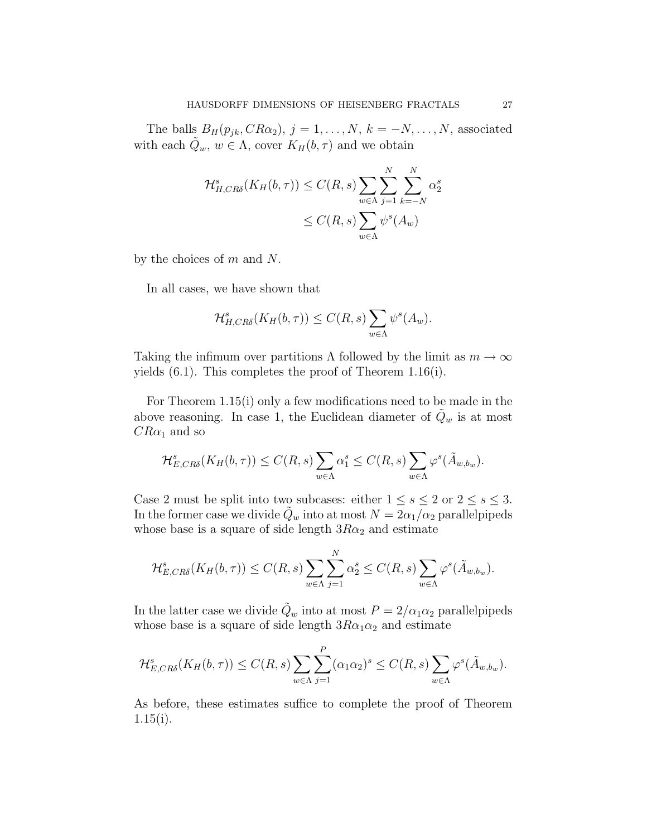The balls  $B_H(p_{jk}, CR\alpha_2)$ ,  $j = 1, \ldots, N$ ,  $k = -N, \ldots, N$ , associated with each  $\tilde{Q}_w$ ,  $w \in \Lambda$ , cover  $K_H(b, \tau)$  and we obtain

$$
\mathcal{H}_{H,CR\delta}^{s}(K_{H}(b,\tau)) \leq C(R,s) \sum_{w \in \Lambda} \sum_{j=1}^{N} \sum_{k=-N}^{N} \alpha_{2}^{s}
$$
  

$$
\leq C(R,s) \sum_{w \in \Lambda} \psi^{s}(A_{w})
$$

by the choices of  $m$  and  $N$ .

In all cases, we have shown that

$$
\mathcal{H}_{H,CR\delta}^s(K_H(b,\tau)) \leq C(R,s) \sum_{w \in \Lambda} \psi^s(A_w).
$$

Taking the infimum over partitions  $\Lambda$  followed by the limit as  $m \to \infty$ yields (6.1). This completes the proof of Theorem 1.16(i).

For Theorem 1.15(i) only a few modifications need to be made in the above reasoning. In case 1, the Euclidean diameter of  $\tilde{Q}_w$  is at most  $CR\alpha_1$  and so

$$
\mathcal{H}_{E,CR\delta}^s(K_H(b,\tau)) \leq C(R,s) \sum_{w \in \Lambda} \alpha_1^s \leq C(R,s) \sum_{w \in \Lambda} \varphi^s(\tilde{A}_{w,b_w}).
$$

Case 2 must be split into two subcases: either  $1 \leq s \leq 2$  or  $2 \leq s \leq 3$ . In the former case we divide  $\tilde{Q}_w$  into at most  $N = 2\alpha_1/\alpha_2$  parallelpipeds whose base is a square of side length  $3R\alpha_2$  and estimate

$$
\mathcal{H}_{E,CR\delta}^s(K_H(b,\tau)) \leq C(R,s) \sum_{w \in \Lambda} \sum_{j=1}^N \alpha_2^s \leq C(R,s) \sum_{w \in \Lambda} \varphi^s(\tilde{A}_{w,b_w}).
$$

In the latter case we divide  $\tilde{Q}_w$  into at most  $P = 2/\alpha_1 \alpha_2$  parallelpipeds whose base is a square of side length  $3R\alpha_1\alpha_2$  and estimate

$$
\mathcal{H}_{E,CR\delta}^s(K_H(b,\tau)) \leq C(R,s) \sum_{w \in \Lambda} \sum_{j=1}^P (\alpha_1 \alpha_2)^s \leq C(R,s) \sum_{w \in \Lambda} \varphi^s(\tilde{A}_{w,b_w}).
$$

As before, these estimates suffice to complete the proof of Theorem  $1.15(i)$ .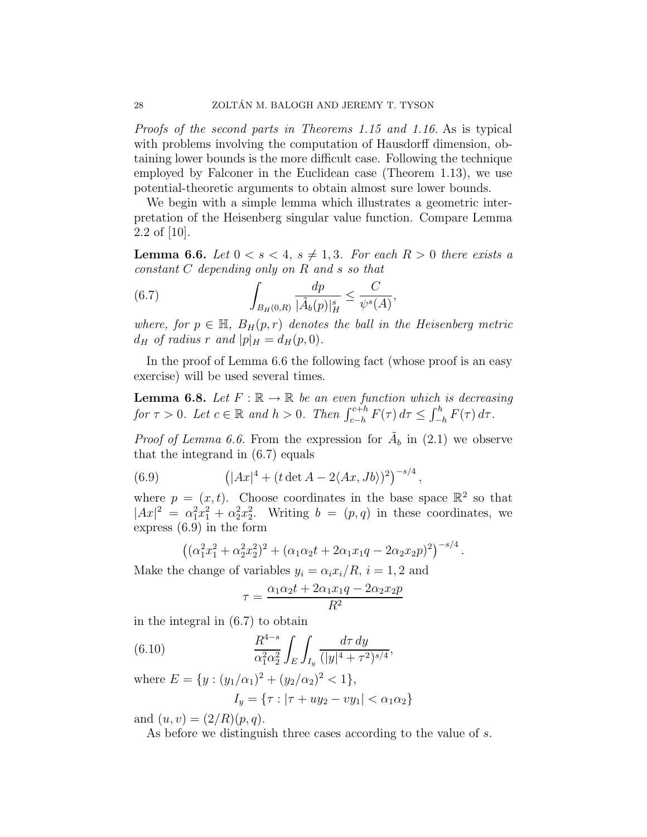Proofs of the second parts in Theorems 1.15 and 1.16. As is typical with problems involving the computation of Hausdorff dimension, obtaining lower bounds is the more difficult case. Following the technique employed by Falconer in the Euclidean case (Theorem 1.13), we use potential-theoretic arguments to obtain almost sure lower bounds.

We begin with a simple lemma which illustrates a geometric interpretation of the Heisenberg singular value function. Compare Lemma 2.2 of [10].

**Lemma 6.6.** Let  $0 < s < 4$ ,  $s \neq 1, 3$ . For each  $R > 0$  there exists a constant C depending only on R and s so that

(6.7) 
$$
\int_{B_H(0,R)} \frac{dp}{|\tilde{A}_b(p)|_H^s} \leq \frac{C}{\psi^s(A)},
$$

where, for  $p \in \mathbb{H}$ ,  $B_H(p,r)$  denotes the ball in the Heisenberg metric  $d_H$  of radius r and  $|p|_H = d_H(p, 0)$ .

In the proof of Lemma 6.6 the following fact (whose proof is an easy exercise) will be used several times.

**Lemma 6.8.** Let  $F : \mathbb{R} \to \mathbb{R}$  be an even function which is decreasing for  $\tau > 0$ . Let  $c \in \mathbb{R}$  and  $h > 0$ . Then  $\int_{c-h}^{c+h} F(\tau) d\tau \leq \int_{-\infty}^{h}$  $\int_{-h}^{h} F(\tau) d\tau.$ 

*Proof of Lemma 6.6.* From the expression for  $\tilde{A}_b$  in (2.1) we observe that the integrand in (6.7) equals

(6.9) 
$$
\left(|Ax|^4 + (t \det A - 2\langle Ax, Jb\rangle)^2\right)^{-s/4},
$$

where  $p = (x, t)$ . Choose coordinates in the base space  $\mathbb{R}^2$  so that  $|Ax|^2 = \alpha_1^2 x_1^2 + \alpha_2^2 x_2^2$ . Writing  $b = (p, q)$  in these coordinates, we express (6.9) in the form

$$
((\alpha_1^2 x_1^2 + \alpha_2^2 x_2^2)^2 + (\alpha_1 \alpha_2 t + 2 \alpha_1 x_1 q - 2 \alpha_2 x_2 p)^2)^{-s/4}.
$$

Make the change of variables  $y_i = \alpha_i x_i / R$ ,  $i = 1, 2$  and

$$
\tau = \frac{\alpha_1 \alpha_2 t + 2\alpha_1 x_1 q - 2\alpha_2 x_2 p}{R^2}
$$

in the integral in (6.7) to obtain

(6.10) 
$$
\frac{R^{4-s}}{\alpha_1^2 \alpha_2^2} \int_E \int_{I_y} \frac{d\tau \, dy}{(|y|^4 + \tau^2)^{s/4}},
$$

where  $E = \{y : (y_1/\alpha_1)^2 + (y_2/\alpha_2)^2 < 1\},\$  $I_y = \{\tau : |\tau + uy_2 - vy_1| < \alpha_1 \alpha_2\}$ 

and  $(u, v) = (2/R)(p, q)$ .

As before we distinguish three cases according to the value of s.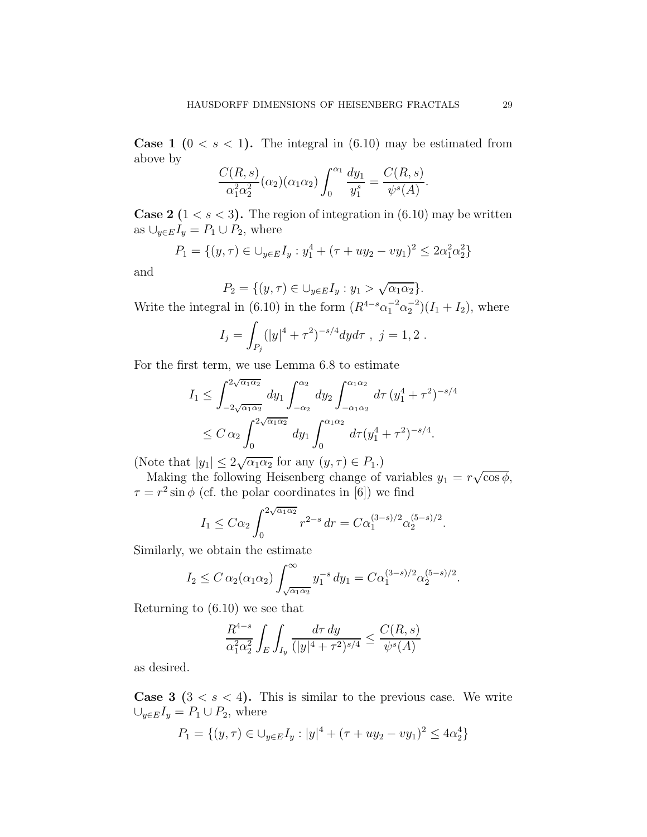**Case 1** ( $0 < s < 1$ ). The integral in (6.10) may be estimated from above by

$$
\frac{C(R,s)}{\alpha_1^2 \alpha_2^2}(\alpha_2)(\alpha_1 \alpha_2) \int_0^{\alpha_1} \frac{dy_1}{y_1^s} = \frac{C(R,s)}{\psi^s(A)}.
$$

**Case 2** ( $1 < s < 3$ ). The region of integration in (6.10) may be written as  $\bigcup_{y\in E} I_y = P_1 \cup P_2$ , where

$$
P_1 = \{(y, \tau) \in \bigcup_{y \in E} I_y : y_1^4 + (\tau + uy_2 - vy_1)^2 \le 2\alpha_1^2 \alpha_2^2\}
$$

and

$$
P_2 = \{(y, \tau) \in \bigcup_{y \in E} I_y : y_1 > \sqrt{\alpha_1 \alpha_2} \}.
$$

Write the integral in (6.10) in the form  $(R^{4-s}\alpha_1^{-2}\alpha_2^{-2}) (I_1 + I_2)$ , where

$$
I_j = \int_{P_j} (|y|^4 + \tau^2)^{-s/4} dy d\tau , \ j = 1, 2 .
$$

For the first term, we use Lemma 6.8 to estimate

$$
I_1 \leq \int_{-2\sqrt{\alpha_1 \alpha_2}}^{2\sqrt{\alpha_1 \alpha_2}} dy_1 \int_{-\alpha_2}^{\alpha_2} dy_2 \int_{-\alpha_1 \alpha_2}^{\alpha_1 \alpha_2} d\tau (y_1^4 + \tau^2)^{-s/4}
$$
  

$$
\leq C \alpha_2 \int_0^{2\sqrt{\alpha_1 \alpha_2}} dy_1 \int_0^{\alpha_1 \alpha_2} d\tau (y_1^4 + \tau^2)^{-s/4}.
$$

(Note that  $|y_1| \leq 2\sqrt{\alpha_1 \alpha_2}$  for any  $(y, \tau) \in P_1$ .)

Making the following Heisenberg change of variables  $y_1 = r\sqrt{\cos \phi}$ ,  $\tau = r^2 \sin \phi$  (cf. the polar coordinates in [6]) we find

$$
I_1 \leq C\alpha_2 \int_0^{2\sqrt{\alpha_1\alpha_2}} r^{2-s} dr = C\alpha_1^{(3-s)/2} \alpha_2^{(5-s)/2}.
$$

Similarly, we obtain the estimate

$$
I_2 \leq C \alpha_2(\alpha_1 \alpha_2) \int_{\sqrt{\alpha_1 \alpha_2}}^{\infty} y_1^{-s} dy_1 = C \alpha_1^{(3-s)/2} \alpha_2^{(5-s)/2}.
$$

Returning to (6.10) we see that

$$
\frac{R^{4-s}}{\alpha_1^2 \alpha_2^2} \int_E \int_{I_y} \frac{d\tau \, dy}{(|y|^4 + \tau^2)^{s/4}} \le \frac{C(R, s)}{\psi^s(A)}
$$

as desired.

**Case 3**  $(3 < s < 4)$ . This is similar to the previous case. We write  $\bigcup_{y\in E}I_y=P_1\cup P_2$ , where

$$
P_1 = \{(y, \tau) \in \bigcup_{y \in E} I_y : |y|^4 + (\tau + uy_2 - vy_1)^2 \le 4\alpha_2^4\}
$$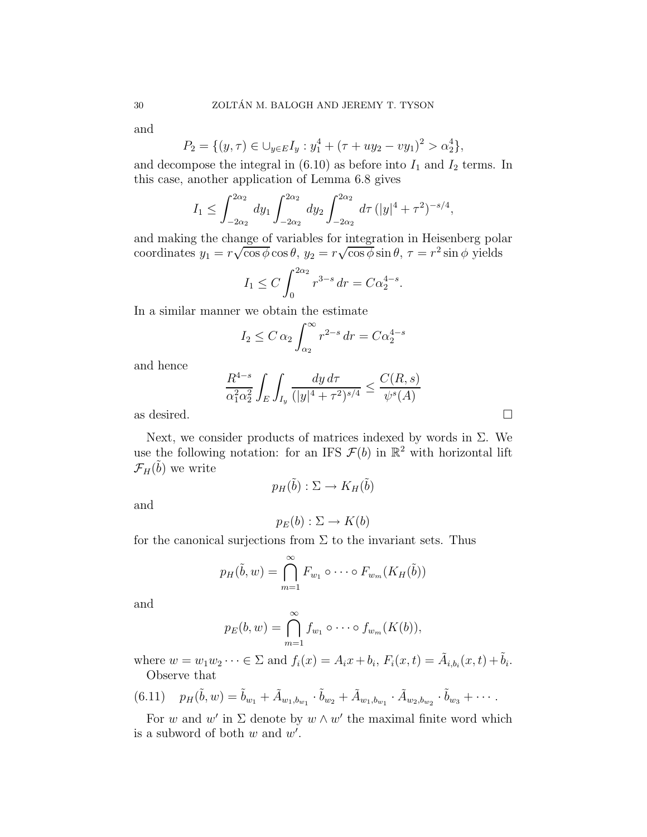and

$$
P_2 = \{(y, \tau) \in \bigcup_{y \in E} I_y : y_1^4 + (\tau + uy_2 - vy_1)^2 > \alpha_2^4\},\
$$

and decompose the integral in  $(6.10)$  as before into  $I_1$  and  $I_2$  terms. In this case, another application of Lemma 6.8 gives

$$
I_1 \leq \int_{-2\alpha_2}^{2\alpha_2} dy_1 \int_{-2\alpha_2}^{2\alpha_2} dy_2 \int_{-2\alpha_2}^{2\alpha_2} d\tau (|y|^4 + \tau^2)^{-s/4},
$$

and making the change of variables for integration in Heisenberg polar coordinates  $y_1 = r\sqrt{\cos\phi} \cos\theta$ ,  $y_2 = r\sqrt{\cos\phi} \sin\theta$ ,  $\tau = r^2 \sin\phi$  yields

$$
I_1 \le C \int_0^{2\alpha_2} r^{3-s} dr = C\alpha_2^{4-s}.
$$

In a similar manner we obtain the estimate

$$
I_2 \le C \alpha_2 \int_{\alpha_2}^{\infty} r^{2-s} dr = C \alpha_2^{4-s}
$$

and hence

$$
\frac{R^{4-s}}{\alpha_1^2 \alpha_2^2} \int_E \int_{I_y} \frac{dy \, d\tau}{(|y|^4 + \tau^2)^{s/4}} \le \frac{C(R, s)}{\psi^s(A)}
$$
 as desired.

Next, we consider products of matrices indexed by words in  $\Sigma$ . We use the following notation: for an IFS  $\mathcal{F}(b)$  in  $\mathbb{R}^2$  with horizontal lift  $\mathcal{F}_H(\tilde{b})$  we write

$$
p_H(\tilde{b}) : \Sigma \to K_H(\tilde{b})
$$

and

$$
p_E(b): \Sigma \to K(b)
$$

for the canonical surjections from  $\Sigma$  to the invariant sets. Thus

$$
p_H(\tilde{b}, w) = \bigcap_{m=1}^{\infty} F_{w_1} \circ \cdots \circ F_{w_m}(K_H(\tilde{b}))
$$

and

$$
p_E(b, w) = \bigcap_{m=1}^{\infty} f_{w_1} \circ \cdots \circ f_{w_m}(K(b)),
$$

where  $w = w_1 w_2 \cdots \in \Sigma$  and  $f_i(x) = A_i x + b_i$ ,  $F_i(x,t) = \tilde{A}_{i,b_i}(x,t) + \tilde{b}_i$ . Observe that

$$
(6.11) \quad p_H(\tilde{b}, w) = \tilde{b}_{w_1} + \tilde{A}_{w_1, b_{w_1}} \cdot \tilde{b}_{w_2} + \tilde{A}_{w_1, b_{w_1}} \cdot \tilde{A}_{w_2, b_{w_2}} \cdot \tilde{b}_{w_3} + \cdots
$$

For w and w' in  $\Sigma$  denote by  $w \wedge w'$  the maximal finite word which is a subword of both  $w$  and  $w'$ .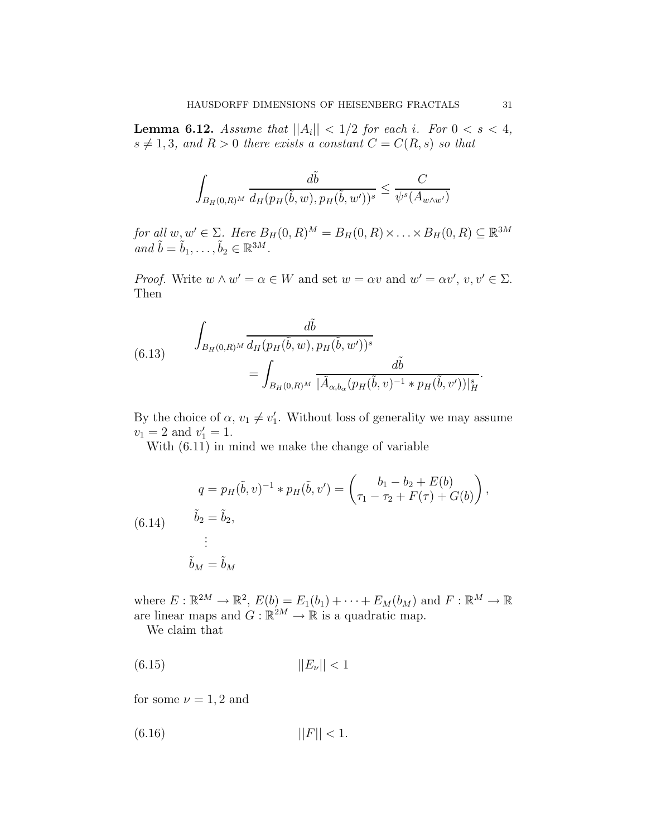**Lemma 6.12.** Assume that  $||A_i|| < 1/2$  for each i. For  $0 < s < 4$ ,  $s \neq 1, 3$ , and  $R > 0$  there exists a constant  $C = C(R, s)$  so that

$$
\int_{B_H(0,R)^M} \frac{d\tilde{b}}{d_H(p_H(\tilde{b},w), p_H(\tilde{b},w'))^s} \leq \frac{C}{\psi^s(A_{w \wedge w'})}
$$

for all  $w, w' \in \Sigma$ . Here  $B_H(0, R)^M = B_H(0, R) \times \ldots \times B_H(0, R) \subseteq \mathbb{R}^{3M}$ and  $\tilde{b} = \tilde{b}_1, \ldots, \tilde{b}_2 \in \mathbb{R}^{3M}$ .

*Proof.* Write  $w \wedge w' = \alpha \in W$  and set  $w = \alpha v$  and  $w' = \alpha v'$ ,  $v, v' \in \Sigma$ . Then

(6.13) 
$$
\int_{B_H(0,R)^M} \frac{d\tilde{b}}{d_H(p_H(\tilde{b}, w), p_H(\tilde{b}, w'))^s} = \int_{B_H(0,R)^M} \frac{d\tilde{b}}{|\tilde{A}_{\alpha, b_\alpha}(p_H(\tilde{b}, v)^{-1} * p_H(\tilde{b}, v'))|_H^s}.
$$

By the choice of  $\alpha, v_1 \neq v'_1$ . Without loss of generality we may assume  $v_1 = 2$  and  $v'_1 = 1$ .

With (6.11) in mind we make the change of variable

(6.14) 
$$
q = p_H(\tilde{b}, v)^{-1} * p_H(\tilde{b}, v') = \begin{pmatrix} b_1 - b_2 + E(b) \\ \tau_1 - \tau_2 + F(\tau) + G(b) \end{pmatrix},
$$

$$
\tilde{b}_2 = \tilde{b}_2,
$$

$$
\vdots
$$

$$
\tilde{b}_M = \tilde{b}_M
$$

where  $E: \mathbb{R}^{2M} \to \mathbb{R}^2$ ,  $E(b) = E_1(b_1) + \cdots + E_M(b_M)$  and  $F: \mathbb{R}^M \to \mathbb{R}$ are linear maps and  $G : \mathbb{R}^{2M} \to \mathbb{R}$  is a quadratic map.

We claim that

$$
||E_{\nu}||<1
$$

for some  $\nu = 1, 2$  and

$$
||F|| < 1.
$$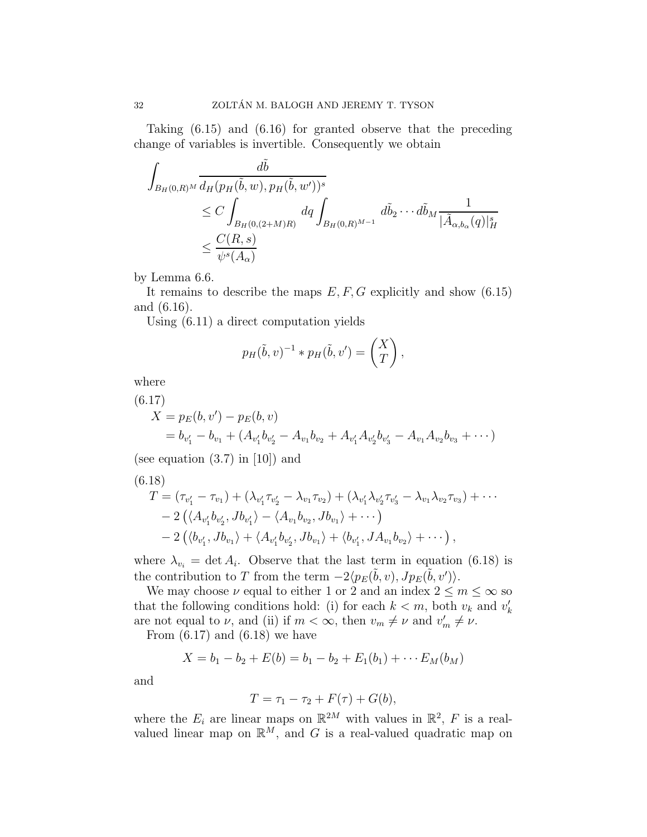Taking (6.15) and (6.16) for granted observe that the preceding change of variables is invertible. Consequently we obtain

$$
\int_{B_H(0,R)^M} \frac{d\tilde{b}}{d_H(p_H(\tilde{b}, w), p_H(\tilde{b}, w'))^s} \leq C \int_{B_H(0,(2+M)R)} dq \int_{B_H(0,R)^{M-1}} d\tilde{b}_2 \cdots d\tilde{b}_M \frac{1}{|\tilde{A}_{\alpha,b_\alpha}(q)|_H^s} \leq \frac{C(R,s)}{\psi^s(A_\alpha)}
$$

by Lemma 6.6.

It remains to describe the maps  $E, F, G$  explicitly and show (6.15) and (6.16).

Using (6.11) a direct computation yields

$$
p_H(\tilde{b}, v)^{-1} * p_H(\tilde{b}, v') = \begin{pmatrix} X \\ T \end{pmatrix},
$$

where

(6.17)

$$
X = p_E(b, v') - p_E(b, v)
$$
  
=  $b_{v'_1} - b_{v_1} + (A_{v'_1}b_{v'_2} - A_{v_1}b_{v_2} + A_{v'_1}A_{v'_2}b_{v'_3} - A_{v_1}A_{v_2}b_{v_3} + \cdots)$ 

(see equation (3.7) in [10]) and

$$
(6.18) \nT = (\tau_{v'_1} - \tau_{v_1}) + (\lambda_{v'_1}\tau_{v'_2} - \lambda_{v_1}\tau_{v_2}) + (\lambda_{v'_1}\lambda_{v'_2}\tau_{v'_3} - \lambda_{v_1}\lambda_{v_2}\tau_{v_3}) + \cdots \n- 2 (\langle A_{v'_1}b_{v'_2}, Jb_{v'_1} \rangle - \langle A_{v_1}b_{v_2}, Jb_{v_1} \rangle + \cdots) \n- 2 (\langle b_{v'_1}, Jb_{v_1} \rangle + \langle A_{v'_1}b_{v'_2}, Jb_{v_1} \rangle + \langle b_{v'_1}, JA_{v_1}b_{v_2} \rangle + \cdots),
$$

where  $\lambda_{v_i} = \det A_i$ . Observe that the last term in equation (6.18) is the contribution to T from the term  $-2\langle p_E(\tilde{b}, v), Jp_E(\tilde{b}, v')\rangle$ .

We may choose  $\nu$  equal to either 1 or 2 and an index  $2 \le m \le \infty$  so that the following conditions hold: (i) for each  $k < m$ , both  $v_k$  and  $v'_k$ are not equal to  $\nu$ , and (ii) if  $m < \infty$ , then  $v_m \neq \nu$  and  $v'_m \neq \nu$ .

From  $(6.17)$  and  $(6.18)$  we have

$$
X = b_1 - b_2 + E(b) = b_1 - b_2 + E_1(b_1) + \cdots E_M(b_M)
$$

and

$$
T = \tau_1 - \tau_2 + F(\tau) + G(b),
$$

where the  $E_i$  are linear maps on  $\mathbb{R}^{2M}$  with values in  $\mathbb{R}^2$ , F is a realvalued linear map on  $\mathbb{R}^M$ , and G is a real-valued quadratic map on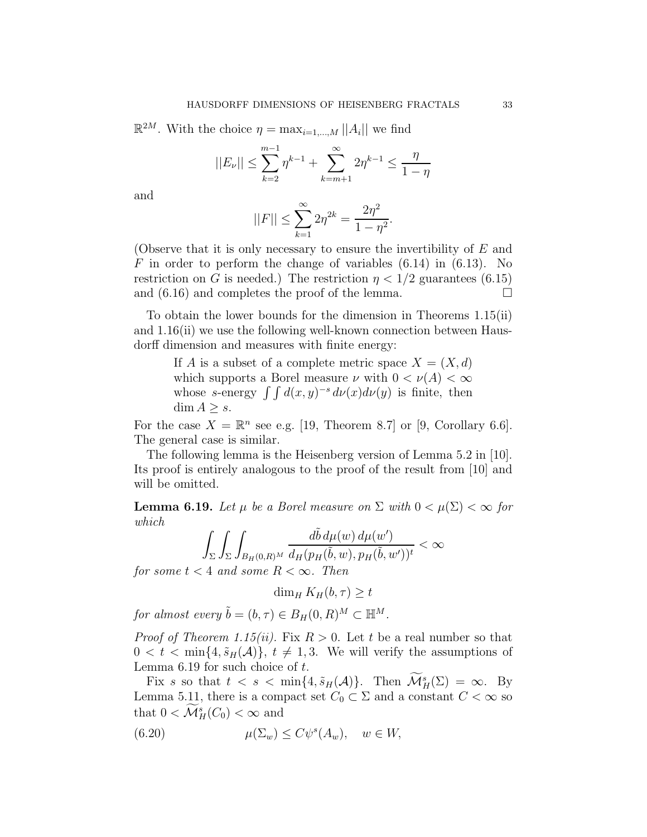$\mathbb{R}^{2M}$ . With the choice  $\eta = \max_{i=1,\dots,M} ||A_i||$  we find

$$
||E_{\nu}|| \le \sum_{k=2}^{m-1} \eta^{k-1} + \sum_{k=m+1}^{\infty} 2\eta^{k-1} \le \frac{\eta}{1-\eta}
$$

and

$$
||F|| \le \sum_{k=1}^{\infty} 2\eta^{2k} = \frac{2\eta^2}{1 - \eta^2}.
$$

(Observe that it is only necessary to ensure the invertibility of E and F in order to perform the change of variables  $(6.14)$  in  $(6.13)$ . No restriction on G is needed.) The restriction  $\eta < 1/2$  guarantees (6.15) and  $(6.16)$  and completes the proof of the lemma.

To obtain the lower bounds for the dimension in Theorems 1.15(ii) and 1.16(ii) we use the following well-known connection between Hausdorff dimension and measures with finite energy:

> If A is a subset of a complete metric space  $X = (X, d)$ which supports a Borel measure  $\nu$  with  $0 < \nu(A) < \infty$ whose s-energy  $\int \int d(x,y)^{-s} d\nu(x) d\nu(y)$  is finite, then  $\dim A \geq s$ .

For the case  $X = \mathbb{R}^n$  see e.g. [19, Theorem 8.7] or [9, Corollary 6.6]. The general case is similar.

The following lemma is the Heisenberg version of Lemma 5.2 in [10]. Its proof is entirely analogous to the proof of the result from [10] and will be omitted.

**Lemma 6.19.** Let  $\mu$  be a Borel measure on  $\Sigma$  with  $0 < \mu(\Sigma) < \infty$  for which

$$
\int_{\Sigma} \int_{\Sigma} \int_{B_H(0,R)^M} \frac{d\tilde{b} d\mu(w) d\mu(w')}{d_H(p_H(\tilde{b},w), p_H(\tilde{b},w'))^t} < \infty
$$

for some  $t < 4$  and some  $R < \infty$ . Then

$$
\dim_H K_H(b,\tau) \geq t
$$

for almost every  $\tilde{b} = (b, \tau) \in B_H (0, R)^M \subset \mathbb{H}^M$ .

*Proof of Theorem 1.15(ii).* Fix  $R > 0$ . Let t be a real number so that  $0 < t < \min\{4, \tilde{s}_H(\mathcal{A})\}, t \neq 1, 3$ . We will verify the assumptions of Lemma  $6.19$  for such choice of  $t$ .

Fix s so that  $t < s < \min\{4, \tilde{s}_H(A)\}\$ . Then  $\mathcal{M}_H^s(\Sigma) = \infty$ . By Lemma 5.11, there is a compact set  $C_0 \subset \Sigma$  and a constant  $C < \infty$  so that  $0 < \mathcal{M}_H^s(C_0) < \infty$  and

(6.20) 
$$
\mu(\Sigma_w) \le C\psi^s(A_w), \quad w \in W,
$$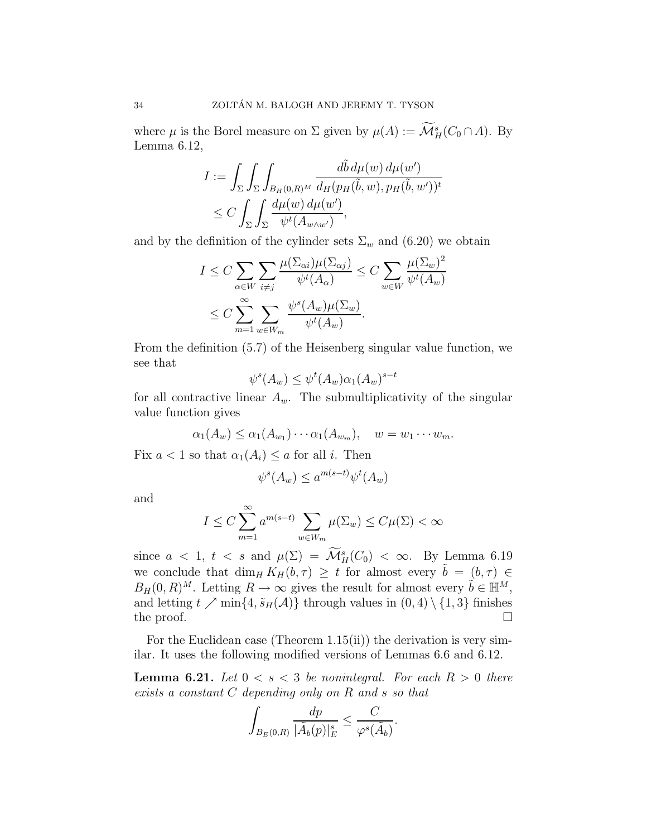where  $\mu$  is the Borel measure on  $\Sigma$  given by  $\mu(A) := \mathcal{M}^s_H(C_0 \cap A)$ . By Lemma 6.12,

$$
I := \int_{\Sigma} \int_{\Sigma} \int_{B_H(0,R)^M} \frac{d\tilde{b} d\mu(w) d\mu(w')}{d_H(p_H(\tilde{b}, w), p_H(\tilde{b}, w'))^t}
$$
  
 
$$
\leq C \int_{\Sigma} \int_{\Sigma} \frac{d\mu(w) d\mu(w')}{\psi^t(A_{w \wedge w'})},
$$

and by the definition of the cylinder sets  $\Sigma_w$  and (6.20) we obtain

$$
I \leq C \sum_{\alpha \in W} \sum_{i \neq j} \frac{\mu(\Sigma_{\alpha i})\mu(\Sigma_{\alpha j})}{\psi^t(A_{\alpha})} \leq C \sum_{w \in W} \frac{\mu(\Sigma_w)^2}{\psi^t(A_w)}
$$
  

$$
\leq C \sum_{m=1}^{\infty} \sum_{w \in W_m} \frac{\psi^s(A_w)\mu(\Sigma_w)}{\psi^t(A_w)}.
$$

From the definition (5.7) of the Heisenberg singular value function, we see that

$$
\psi^s(A_w) \le \psi^t(A_w) \alpha_1(A_w)^{s-t}
$$

for all contractive linear  $A_w$ . The submultiplicativity of the singular value function gives

$$
\alpha_1(A_w) \leq \alpha_1(A_{w_1}) \cdots \alpha_1(A_{w_m}), \quad w = w_1 \cdots w_m.
$$

Fix  $a < 1$  so that  $\alpha_1(A_i) \le a$  for all *i*. Then

$$
\psi^s(A_w) \le a^{m(s-t)} \psi^t(A_w)
$$

and

$$
I \leq C \sum_{m=1}^{\infty} a^{m(s-t)} \sum_{w \in W_m} \mu(\Sigma_w) \leq C\mu(\Sigma) < \infty
$$

since  $a < 1$ ,  $t < s$  and  $\mu(\Sigma) = \mathcal{M}_H^s(C_0) < \infty$ . By Lemma 6.19 we conclude that  $\dim_H K_H (b, \tau) \geq t$  for almost every  $\tilde{b} = (b, \tau) \in$  $B_H(0,R)^M$ . Letting  $R \to \infty$  gives the result for almost every  $\tilde{b} \in \mathbb{H}^M$ , and letting  $t \nearrow \min\{4, \tilde{s}_H(\mathcal{A})\}$  through values in  $(0, 4) \setminus \{1, 3\}$  finishes the proof.  $\Box$ 

For the Euclidean case (Theorem  $1.15(ii)$ ) the derivation is very similar. It uses the following modified versions of Lemmas 6.6 and 6.12.

**Lemma 6.21.** Let  $0 < s < 3$  be nonintegral. For each  $R > 0$  there exists a constant C depending only on R and s so that

$$
\int_{B_E(0,R)} \frac{dp}{|\tilde{A}_b(p)|_E^s} \leq \frac{C}{\varphi^s(\tilde{A}_b)}.
$$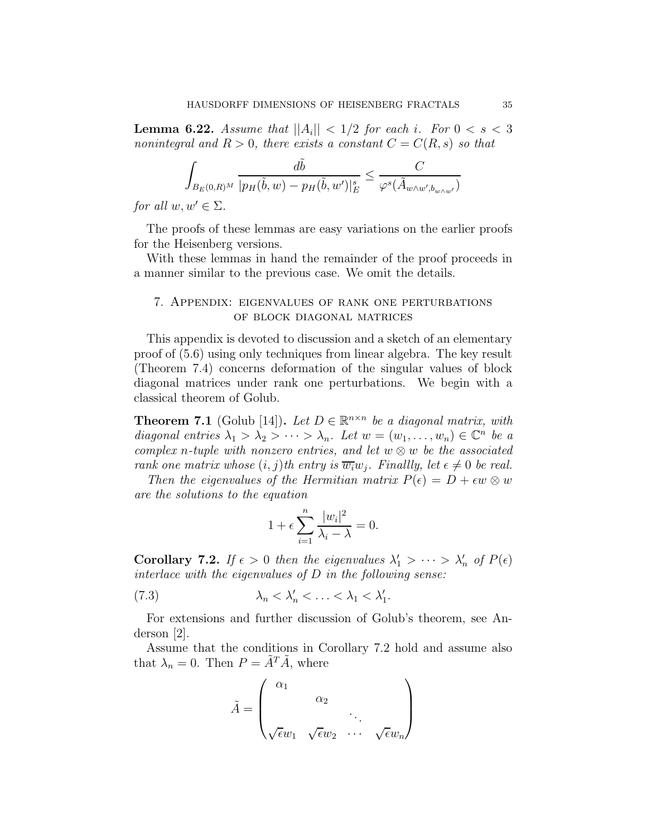**Lemma 6.22.** Assume that  $||A_i|| < 1/2$  for each i. For  $0 < s < 3$ nonintegral and  $R > 0$ , there exists a constant  $C = C(R, s)$  so that

$$
\int_{B_E(0,R)^M} \frac{d\tilde{b}}{|p_H(\tilde{b},w) - p_H(\tilde{b},w')|_E^s} \leq \frac{C}{\varphi^s(\tilde{A}_{w \wedge w',b_{w \wedge w'}})}
$$

for all  $w, w' \in \Sigma$ .

The proofs of these lemmas are easy variations on the earlier proofs for the Heisenberg versions.

With these lemmas in hand the remainder of the proof proceeds in a manner similar to the previous case. We omit the details.

## 7. Appendix: eigenvalues of rank one perturbations of block diagonal matrices

This appendix is devoted to discussion and a sketch of an elementary proof of (5.6) using only techniques from linear algebra. The key result (Theorem 7.4) concerns deformation of the singular values of block diagonal matrices under rank one perturbations. We begin with a classical theorem of Golub.

**Theorem 7.1** (Golub [14]). Let  $D \in \mathbb{R}^{n \times n}$  be a diagonal matrix, with diagonal entries  $\lambda_1 > \lambda_2 > \cdots > \lambda_n$ . Let  $w = (w_1, \ldots, w_n) \in \mathbb{C}^n$  be a complex n-tuple with nonzero entries, and let  $w \otimes w$  be the associated rank one matrix whose  $(i, j)$ th entry is  $\overline{w_i}w_j$ . Finallly, let  $\epsilon \neq 0$  be real.

Then the eigenvalues of the Hermitian matrix  $P(\epsilon) = D + \epsilon w \otimes w$ are the solutions to the equation

$$
1 + \epsilon \sum_{i=1}^{n} \frac{|w_i|^2}{\lambda_i - \lambda} = 0.
$$

**Corollary 7.2.** If  $\epsilon > 0$  then the eigenvalues  $\lambda'_1 > \cdots > \lambda'_n$  of  $P(\epsilon)$ interlace with the eigenvalues of  $D$  in the following sense:

$$
(7.3) \qquad \qquad \lambda_n < \lambda_n' < \ldots < \lambda_1 < \lambda_1'.
$$

For extensions and further discussion of Golub's theorem, see Anderson [2].

Assume that the conditions in Corollary 7.2 hold and assume also that  $\lambda_n = 0$ . Then  $P = \tilde{A}^T \tilde{A}$ , where

$$
\tilde{A} = \begin{pmatrix} \alpha_1 & & & \\ & \alpha_2 & & \\ & & \ddots & \\ \sqrt{\epsilon}w_1 & \sqrt{\epsilon}w_2 & \cdots & \sqrt{\epsilon}w_n \end{pmatrix}
$$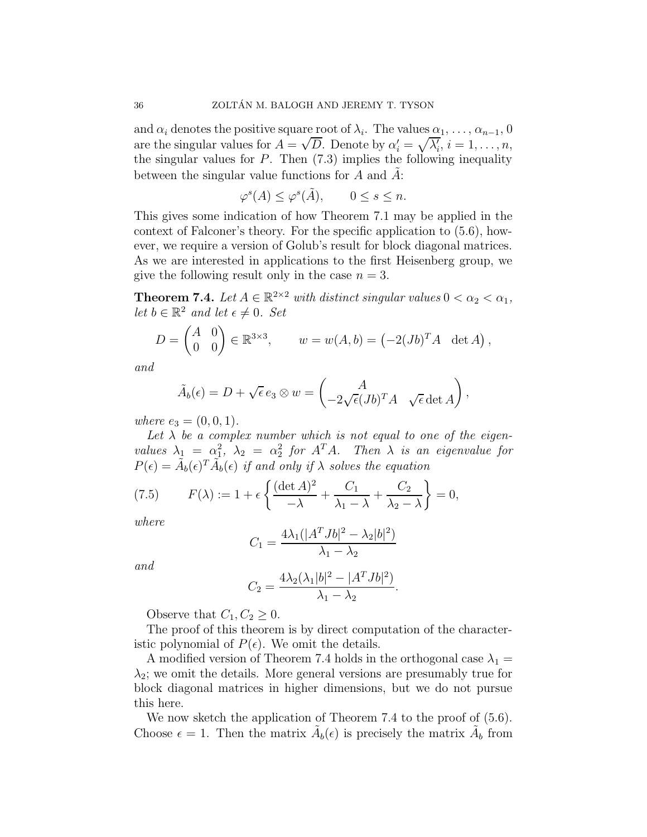and  $\alpha_i$  denotes the positive square root of  $\lambda_i$ . The values  $\alpha_1, \ldots, \alpha_{n-1}, 0$ are the singular values for  $A = \sqrt{D}$ . Denote by  $\alpha'_i = \sqrt{\lambda'_i}$ ,  $i = 1, \ldots, n$ , the singular values for  $P$ . Then  $(7.3)$  implies the following inequality between the singular value functions for  $A$  and  $A$ :

$$
\varphi^s(A) \le \varphi^s(\tilde{A}), \qquad 0 \le s \le n.
$$

This gives some indication of how Theorem 7.1 may be applied in the context of Falconer's theory. For the specific application to (5.6), however, we require a version of Golub's result for block diagonal matrices. As we are interested in applications to the first Heisenberg group, we give the following result only in the case  $n = 3$ .

**Theorem 7.4.** Let  $A \in \mathbb{R}^{2 \times 2}$  with distinct singular values  $0 < \alpha_2 < \alpha_1$ , let  $b \in \mathbb{R}^2$  and let  $\epsilon \neq 0$ . Set

$$
D = \begin{pmatrix} A & 0 \\ 0 & 0 \end{pmatrix} \in \mathbb{R}^{3 \times 3}, \qquad w = w(A, b) = (-2(Jb)^T A \ \det A),
$$

and

$$
\tilde{A}_b(\epsilon) = D + \sqrt{\epsilon} e_3 \otimes w = \begin{pmatrix} A \\ -2\sqrt{\epsilon} (Jb)^T A & \sqrt{\epsilon} \det A \end{pmatrix},
$$

where  $e_3 = (0, 0, 1)$ .

Let  $\lambda$  be a complex number which is not equal to one of the eigenvalues  $\lambda_1 = \alpha_1^2$ ,  $\lambda_2 = \alpha_2^2$  for  $A^T A$ . Then  $\lambda$  is an eigenvalue for  $P(\epsilon) = \tilde{A}_b(\epsilon)^T \tilde{A}_b(\epsilon)$  if and only if  $\lambda$  solves the equation

(7.5) 
$$
F(\lambda) := 1 + \epsilon \left\{ \frac{(\det A)^2}{-\lambda} + \frac{C_1}{\lambda_1 - \lambda} + \frac{C_2}{\lambda_2 - \lambda} \right\} = 0,
$$

where

$$
C_1 = \frac{4\lambda_1(|A^T Jb|^2 - \lambda_2|b|^2)}{\lambda_1 - \lambda_2}
$$

and

$$
C_2 = \frac{4\lambda_2(\lambda_1|b|^2 - |A^T Jb|^2)}{\lambda_1 - \lambda_2}.
$$

Observe that  $C_1, C_2 \geq 0$ .

The proof of this theorem is by direct computation of the characteristic polynomial of  $P(\epsilon)$ . We omit the details.

A modified version of Theorem 7.4 holds in the orthogonal case  $\lambda_1 =$  $\lambda_2$ ; we omit the details. More general versions are presumably true for block diagonal matrices in higher dimensions, but we do not pursue this here.

We now sketch the application of Theorem 7.4 to the proof of  $(5.6)$ . Choose  $\epsilon = 1$ . Then the matrix  $\tilde{A}_b(\epsilon)$  is precisely the matrix  $\tilde{A}_b$  from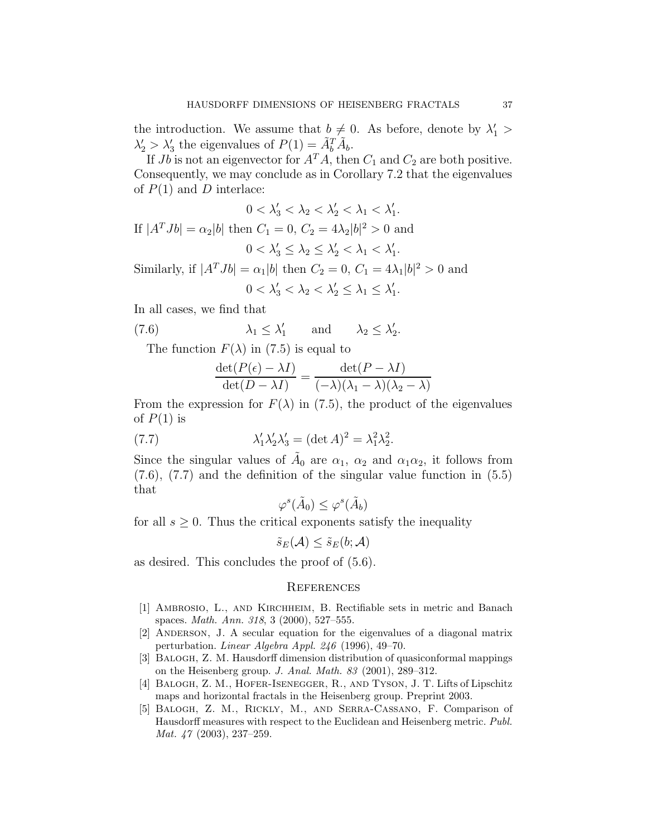the introduction. We assume that  $b \neq 0$ . As before, denote by  $\lambda'_1$  >  $\lambda_2' > \lambda_3'$  the eigenvalues of  $P(1) = \tilde{A}_b^T \tilde{A}_b$ .

If  $Jb$  is not an eigenvector for  $A^T A$ , then  $C_1$  and  $C_2$  are both positive. Consequently, we may conclude as in Corollary 7.2 that the eigenvalues of  $P(1)$  and D interlace:

$$
0 < \lambda'_3 < \lambda_2 < \lambda'_2 < \lambda_1 < \lambda'_1.
$$
\nIf  $|A^T Jb| = \alpha_2 |b|$  then  $C_1 = 0$ ,  $C_2 = 4\lambda_2 |b|^2 > 0$  and\n
$$
0 < \lambda'_3 \le \lambda_2 \le \lambda'_2 < \lambda_1 < \lambda'_1.
$$

Similarly, if  $|A^T J b| = \alpha_1 |b|$  then  $C_2 = 0$ ,  $C_1 = 4\lambda_1 |b|^2 > 0$  and  $0 < \lambda'_3 < \lambda_2 < \lambda'_2 \leq \lambda_1 \leq \lambda'_1.$ 

In all cases, we find that

(7.6) 
$$
\lambda_1 \leq \lambda'_1
$$
 and  $\lambda_2 \leq \lambda'_2$ .

The function  $F(\lambda)$  in (7.5) is equal to

$$
\frac{\det(P(\epsilon) - \lambda I)}{\det(D - \lambda I)} = \frac{\det(P - \lambda I)}{(-\lambda)(\lambda_1 - \lambda)(\lambda_2 - \lambda)}
$$

From the expression for  $F(\lambda)$  in (7.5), the product of the eigenvalues of  $P(1)$  is

(7.7) 
$$
\lambda'_1 \lambda'_2 \lambda'_3 = (\det A)^2 = \lambda_1^2 \lambda_2^2.
$$

Since the singular values of  $\tilde{A}_0$  are  $\alpha_1$ ,  $\alpha_2$  and  $\alpha_1\alpha_2$ , it follows from (7.6), (7.7) and the definition of the singular value function in (5.5) that

$$
\varphi^s(\tilde{A}_0) \leq \varphi^s(\tilde{A}_b)
$$

for all  $s \geq 0$ . Thus the critical exponents satisfy the inequality

$$
\tilde{s}_E(\mathcal{A}) \le \tilde{s}_E(b; \mathcal{A})
$$

as desired. This concludes the proof of (5.6).

#### **REFERENCES**

- [1] Ambrosio, L., and Kirchheim, B. Rectifiable sets in metric and Banach spaces. Math. Ann. 318, 3 (2000), 527–555.
- [2] Anderson, J. A secular equation for the eigenvalues of a diagonal matrix perturbation. Linear Algebra Appl. 246 (1996), 49–70.
- [3] Balogh, Z. M. Hausdorff dimension distribution of quasiconformal mappings on the Heisenberg group. J. Anal. Math. 83  $(2001)$ , 289–312.
- [4] Balogh, Z. M., Hofer-Isenegger, R., and Tyson, J. T. Lifts of Lipschitz maps and horizontal fractals in the Heisenberg group. Preprint 2003.
- [5] Balogh, Z. M., Rickly, M., and Serra-Cassano, F. Comparison of Hausdorff measures with respect to the Euclidean and Heisenberg metric. Publ. Mat. 47 (2003), 237–259.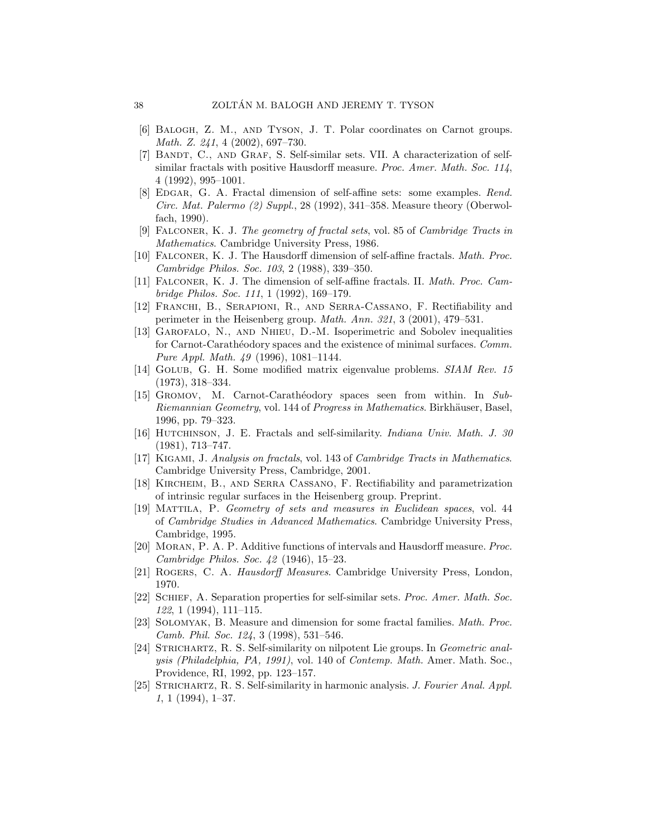- [6] Balogh, Z. M., and Tyson, J. T. Polar coordinates on Carnot groups. Math. Z. 241, 4 (2002), 697–730.
- [7] BANDT, C., AND GRAF, S. Self-similar sets. VII. A characterization of selfsimilar fractals with positive Hausdorff measure. Proc. Amer. Math. Soc. 114, 4 (1992), 995–1001.
- [8] EDGAR, G. A. Fractal dimension of self-affine sets: some examples. Rend. Circ. Mat. Palermo  $(2)$  Suppl., 28 (1992), 341–358. Measure theory (Oberwolfach, 1990).
- [9] Falconer, K. J. The geometry of fractal sets, vol. 85 of Cambridge Tracts in Mathematics. Cambridge University Press, 1986.
- [10] Falconer, K. J. The Hausdorff dimension of self-affine fractals. Math. Proc. Cambridge Philos. Soc. 103, 2 (1988), 339–350.
- [11] Falconer, K. J. The dimension of self-affine fractals. II. Math. Proc. Cambridge Philos. Soc. 111, 1 (1992), 169–179.
- [12] Franchi, B., Serapioni, R., and Serra-Cassano, F. Rectifiability and perimeter in the Heisenberg group. Math. Ann. 321, 3 (2001), 479–531.
- [13] Garofalo, N., and Nhieu, D.-M. Isoperimetric and Sobolev inequalities for Carnot-Carathéodory spaces and the existence of minimal surfaces. Comm. Pure Appl. Math. 49 (1996), 1081–1144.
- [14] Golub, G. H. Some modified matrix eigenvalue problems. SIAM Rev. 15 (1973), 318–334.
- [15] GROMOV, M. Carnot-Carathéodory spaces seen from within. In Sub-Riemannian Geometry, vol. 144 of Progress in Mathematics. Birkhäuser, Basel, 1996, pp. 79–323.
- [16] HUTCHINSON, J. E. Fractals and self-similarity. Indiana Univ. Math. J. 30 (1981), 713–747.
- [17] Kigami, J. Analysis on fractals, vol. 143 of Cambridge Tracts in Mathematics. Cambridge University Press, Cambridge, 2001.
- [18] Kircheim, B., and Serra Cassano, F. Rectifiability and parametrization of intrinsic regular surfaces in the Heisenberg group. Preprint.
- [19] Mattila, P. Geometry of sets and measures in Euclidean spaces, vol. 44 of Cambridge Studies in Advanced Mathematics. Cambridge University Press, Cambridge, 1995.
- [20] Moran, P. A. P. Additive functions of intervals and Hausdorff measure. Proc. Cambridge Philos. Soc. 42 (1946), 15–23.
- [21] Rogers, C. A. Hausdorff Measures. Cambridge University Press, London, 1970.
- [22] Schief, A. Separation properties for self-similar sets. Proc. Amer. Math. Soc. 122, 1 (1994), 111–115.
- [23] Solomyak, B. Measure and dimension for some fractal families. Math. Proc. Camb. Phil. Soc. 124, 3 (1998), 531–546.
- [24] STRICHARTZ, R. S. Self-similarity on nilpotent Lie groups. In Geometric analysis (Philadelphia, PA, 1991), vol. 140 of Contemp. Math. Amer. Math. Soc., Providence, RI, 1992, pp. 123–157.
- [25] STRICHARTZ, R. S. Self-similarity in harmonic analysis. J. Fourier Anal. Appl. 1, 1 (1994), 1–37.